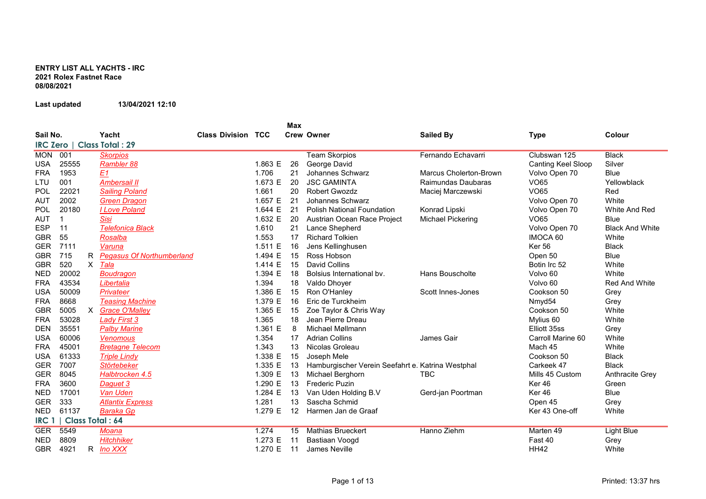## ENTRY LIST ALL YACHTS - IRC 2021 Rolex Fastnet Race 08/08/2021

## Last updated 13/04/2021 12:10

|                  |       |          |                                  |                           |         | Max |                                                   |                          |                    |                        |
|------------------|-------|----------|----------------------------------|---------------------------|---------|-----|---------------------------------------------------|--------------------------|--------------------|------------------------|
| Sail No.         |       |          | Yacht                            | <b>Class Division TCC</b> |         |     | <b>Crew Owner</b>                                 | <b>Sailed By</b>         | <b>Type</b>        | Colour                 |
| <b>IRC Zero</b>  |       |          | <b>Class Total: 29</b>           |                           |         |     |                                                   |                          |                    |                        |
| <b>MON</b>       | 001   |          | <b>Skorpios</b>                  |                           |         |     | <b>Team Skorpios</b>                              | Fernando Echavarri       | Clubswan 125       | <b>Black</b>           |
| <b>USA</b>       | 25555 |          | Rambler 88                       |                           | 1.863 E | 26  | George David                                      |                          | Canting Keel Sloop | Silver                 |
| <b>FRA</b>       | 1953  |          | E1                               |                           | 1.706   | 21  | Johannes Schwarz                                  | Marcus Cholerton-Brown   | Volvo Open 70      | <b>Blue</b>            |
| LTU              | 001   |          | <b>Ambersail II</b>              |                           | 1.673 E | 20  | <b>JSC GAMINTA</b>                                | Raimundas Daubaras       | <b>VO65</b>        | Yellowblack            |
| POL              | 22021 |          | <b>Sailing Poland</b>            |                           | 1.661   | 20  | <b>Robert Gwozdz</b>                              | Maciej Marczewski        | <b>VO65</b>        | Red                    |
| <b>AUT</b>       | 2002  |          | <b>Green Dragon</b>              |                           | 1.657 E | 21  | Johannes Schwarz                                  |                          | Volvo Open 70      | White                  |
| POL              | 20180 |          | I Love Poland                    |                           | 1.644 E | 21  | <b>Polish National Foundation</b>                 | Konrad Lipski            | Volvo Open 70      | White And Red          |
| AUT              |       |          | <b>Sisi</b>                      |                           | 1.632 E | 20  | Austrian Ocean Race Project                       | <b>Michael Pickering</b> | <b>VO65</b>        | <b>Blue</b>            |
| <b>ESP</b>       | 11    |          | <b>Telefonica Black</b>          |                           | 1.610   | 21  | Lance Shepherd                                    |                          | Volvo Open 70      | <b>Black And White</b> |
| <b>GBR</b>       | 55    |          | Rosalba                          |                           | 1.553   | 17  | <b>Richard Tolkien</b>                            |                          | IMOCA 60           | White                  |
| <b>GER</b>       | 7111  |          | Varuna                           |                           | 1.511 E | 16  | Jens Kellinghusen                                 |                          | <b>Ker 56</b>      | <b>Black</b>           |
| <b>GBR</b>       | 715   | R.       | <b>Pegasus Of Northumberland</b> |                           | 1.494 E | 15  | Ross Hobson                                       |                          | Open 50            | Blue                   |
| <b>GBR</b>       | 520   | $\times$ | Tala                             |                           | 1.414 E | 15  | <b>David Collins</b>                              |                          | Botin Irc 52       | White                  |
| <b>NED</b>       | 20002 |          | <b>Boudragon</b>                 |                           | 1.394 E | 18  | Bolsius International by.                         | Hans Bouscholte          | Volvo 60           | White                  |
| <b>FRA</b>       | 43534 |          | Libertalia                       |                           | 1.394   | 18  | Valdo Dhoyer                                      |                          | Volvo 60           | <b>Red And White</b>   |
| <b>USA</b>       | 50009 |          | Privateer                        |                           | 1.386 E | 15  | Ron O'Hanley                                      | Scott Innes-Jones        | Cookson 50         | Grey                   |
| <b>FRA</b>       | 8668  |          | <b>Teasing Machine</b>           |                           | 1.379 E | 16  | Eric de Turckheim                                 |                          | Nmyd54             | Grey                   |
| <b>GBR</b>       | 5005  | X        | <b>Grace O'Malley</b>            |                           | 1.365 E | 15  | Zoe Taylor & Chris Way                            |                          | Cookson 50         | White                  |
| <b>FRA</b>       | 53028 |          | <b>Lady First 3</b>              |                           | 1.365   | 18  | Jean Pierre Dreau                                 |                          | Mylius 60          | White                  |
| <b>DEN</b>       | 35551 |          | <b>Palby Marine</b>              |                           | 1.361 E | 8   | Michael Møllmann                                  |                          | Elliott 35ss       | Grey                   |
| <b>USA</b>       | 60006 |          | <b>Venomous</b>                  |                           | 1.354   | 17  | <b>Adrian Collins</b>                             | <b>James Gair</b>        | Carroll Marine 60  | White                  |
| <b>FRA</b>       | 45001 |          | <b>Bretagne Telecom</b>          |                           | 1.343   | 13  | Nicolas Groleau                                   |                          | Mach 45            | White                  |
| <b>USA</b>       | 61333 |          | <b>Triple Lindy</b>              |                           | 1.338 E | 15  | Joseph Mele                                       |                          | Cookson 50         | <b>Black</b>           |
| <b>GER</b>       | 7007  |          | Störtebeker                      |                           | 1.335 E | 13  | Hamburgischer Verein Seefahrt e. Katrina Westphal |                          | Carkeek 47         | <b>Black</b>           |
| <b>GER</b>       | 8045  |          | Halbtrocken 4.5                  |                           | 1.309 E | 13  | Michael Berghorn                                  | <b>TBC</b>               | Mills 45 Custom    | Anthracite Grey        |
| <b>FRA</b>       | 3600  |          | Daguet 3                         |                           | 1.290 E | 13  | <b>Frederic Puzin</b>                             |                          | Ker <sub>46</sub>  | Green                  |
| <b>NED</b>       | 17001 |          | Van Uden                         |                           | 1.284 E | 13  | Van Uden Holding B.V                              | Gerd-jan Poortman        | Ker 46             | <b>Blue</b>            |
| <b>GER</b>       | 333   |          | <b>Atlantix Express</b>          |                           | 1.281   | 13  | Sascha Schmid                                     |                          | Open 45            | Grey                   |
| <b>NED</b>       | 61137 |          | <b>Baraka Gp</b>                 |                           | 1.279 E | 12  | Harmen Jan de Graaf                               |                          | Ker 43 One-off     | White                  |
| IRC <sub>1</sub> |       |          | <b>Class Total: 64</b>           |                           |         |     |                                                   |                          |                    |                        |
| <b>GER</b>       | 5549  |          | Moana                            |                           | 1.274   | 15  | <b>Mathias Brueckert</b>                          | Hanno Ziehm              | Marten 49          | <b>Light Blue</b>      |
| <b>NED</b>       | 8809  |          | <b>Hitchhiker</b>                |                           | 1.273 E | 11  | Bastiaan Voogd                                    |                          | Fast 40            | Grey                   |
| <b>GBR</b>       | 4921  | R        | <u>Ino XXX</u>                   |                           | 1.270 E | 11  | James Neville                                     |                          | <b>HH42</b>        | White                  |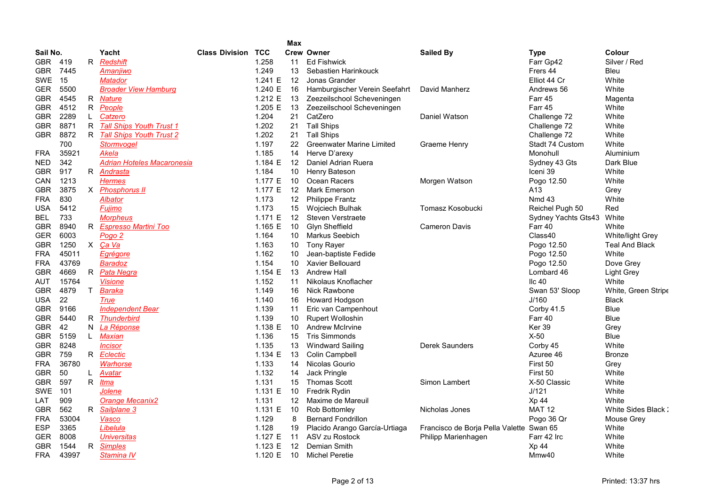| Sail No.   |       |    | Yacht                           |                       |            |     |                                  |                                          |                           |                       |
|------------|-------|----|---------------------------------|-----------------------|------------|-----|----------------------------------|------------------------------------------|---------------------------|-----------------------|
|            |       |    |                                 | <b>Class Division</b> | <b>TCC</b> |     | <b>Crew Owner</b>                | <b>Sailed By</b>                         | Type                      | Colour                |
| GBR        | 419   | R. | Redshift                        |                       | 1.258      | 11  | <b>Ed Fishwick</b>               |                                          | Farr Gp42                 | Silver / Red          |
| GBR        | 7445  |    | Amanjiwo                        |                       | 1.249      | 13  | Sebastien Harinkouck             |                                          | Frers 44                  | <b>Bleu</b>           |
| SWE 15     |       |    | Matador                         |                       | 1.241 E    | 12  | Jonas Grander                    |                                          | Elliot 44 Cr              | White                 |
| <b>GER</b> | 5500  |    | <b>Broader View Hamburg</b>     |                       | 1.240 E    | -16 | Hamburgischer Verein Seefahrt    | David Manherz                            | Andrews 56                | White                 |
| GBR        | 4545  | R  | <b>Nature</b>                   |                       | 1.212 E    | 13  | Zeezeilschool Scheveningen       |                                          | Farr 45                   | Magenta               |
| GBR.       | 4512  | R  | People                          |                       | 1.205 E    | 13  | Zeezeilschool Scheveningen       |                                          | Farr 45                   | White                 |
| <b>GBR</b> | 2289  |    | Catzero                         |                       | 1.204      | 21  | CatZero                          | Daniel Watson                            | Challenge 72              | White                 |
| GBR        | 8871  | R  | <b>Tall Ships Youth Trust 1</b> |                       | 1.202      | 21  | <b>Tall Ships</b>                |                                          | Challenge 72              | White                 |
| <b>GBR</b> | 8872  | R  | <b>Tall Ships Youth Trust 2</b> |                       | 1.202      | 21  | <b>Tall Ships</b>                |                                          | Challenge 72              | White                 |
|            | 700   |    | Stormvogel                      |                       | 1.197      | 22  | <b>Greenwater Marine Limited</b> | Graeme Henry                             | Stadt 74 Custom           | White                 |
| FRA        | 35921 |    | Akela                           |                       | 1.185      | 14  | Herve D'arexy                    |                                          | Monohull                  | Aluminium             |
| NED        | 342   |    | Adrian Hoteles Macaronesia      |                       | 1.184 E    | 12  | Daniel Adrian Ruera              |                                          | Sydney 43 Gts             | Dark Blue             |
| GBR        | 917   |    | R Andrasta                      |                       | 1.184      | 10  | Henry Bateson                    |                                          | Iceni 39                  | White                 |
| CAN        | 1213  |    | Hermes                          |                       | 1.177 E    | -10 | Ocean Racers                     | Morgen Watson                            | Pogo 12.50                | White                 |
| <b>GBR</b> | 3875  | X  | <b>Phosphorus II</b>            |                       | 1.177 E    | -12 | <b>Mark Emerson</b>              |                                          | A13                       | Grey                  |
| FRA        | 830   |    | Albator                         |                       | 1.173      | 12  | <b>Philippe Frantz</b>           |                                          | <b>Nmd 43</b>             | White                 |
| USA        | 5412  |    | Fujimo                          |                       | 1.173      | 15  | <b>Wojciech Bulhak</b>           | Tomasz Kosobucki                         | Reichel Pugh 50           | Red                   |
| BEL        | 733   |    | Morpheus                        |                       | 1.171 E    | 12  | Steven Verstraete                |                                          | Sydney Yachts Gts43 White |                       |
| GBR        | 8940  | R. | <b>Espresso Martini Too</b>     |                       | 1.165 $E$  | 10  | Glyn Sheffield                   | <b>Cameron Davis</b>                     | Farr 40                   | White                 |
| GER        | 6003  |    | Pogo 2                          |                       | 1.164      | 10  | Markus Seebich                   |                                          | Class40                   | White/light Grey      |
| GBR        | 1250  | X  | Ca Va                           |                       | 1.163      | 10  | <b>Tony Rayer</b>                |                                          | Pogo 12.50                | <b>Teal And Black</b> |
| FRA        | 45011 |    | <u>Egrégore</u>                 |                       | 1.162      | 10  | Jean-baptiste Fedide             |                                          | Pogo 12.50                | White                 |
| FRA        | 43769 |    | Baradoz                         |                       | 1.154      | 10  | <b>Xavier Bellouard</b>          |                                          | Pogo 12.50                | Dove Grey             |
| GBR        | 4669  | R  | Pata Negra                      |                       | 1.154 E    | 13  | Andrew Hall                      |                                          | Lombard 46                | <b>Light Grey</b>     |
| AUT        | 15764 |    | <b>Visione</b>                  |                       | 1.152      | 11  | Nikolaus Knoflacher              |                                          | llc $40$                  | White                 |
| GBR        | 4879  | T  | Baraka                          |                       | 1.149      | 16  | Nick Rawbone                     |                                          | Swan 53' Sloop            | White, Green Stripe   |
| USA        | 22    |    | True                            |                       | 1.140      | 16  | Howard Hodgson                   |                                          | J/160                     | <b>Black</b>          |
| GBR.       | 9166  |    | <b>Independent Bear</b>         |                       | 1.139      | 11  | Eric van Campenhout              |                                          | Corby 41.5                | Blue                  |
| GBR        | 5440  | R  | <b>Thunderbird</b>              |                       | 1.139      | 10  | <b>Rupert Wolloshin</b>          |                                          | Farr 40                   | <b>Blue</b>           |
| GBR.       | 42    | N. | La Réponse                      |                       | 1.138 E    | -10 | <b>Andrew McIrvine</b>           |                                          | Ker 39                    | Grey                  |
| GBR.       | 5159  | L. | Maxian                          |                       | 1.136      | 15  | <b>Tris Simmonds</b>             |                                          | $X-50$                    | <b>Blue</b>           |
| <b>GBR</b> | 8248  |    | Incisor                         |                       | 1.135      | 13  | <b>Windward Sailing</b>          | <b>Derek Saunders</b>                    | Corby 45                  | White                 |
| GBR.       | 759   |    | R Eclectic                      |                       | 1.134 E    | 13  | Colin Campbell                   |                                          | Azuree 46                 | <b>Bronze</b>         |
| FRA        | 36780 |    | Warhorse                        |                       | 1.133      | 14  | Nicolas Gourio                   |                                          | First 50                  | Grey                  |
| GBR.       | 50    | L. | Avatar                          |                       | 1.132      | 14  | Jack Pringle                     |                                          | First 50                  | White                 |
| GBR        | 597   | R  | Itma                            |                       | 1.131      | 15  | <b>Thomas Scott</b>              | Simon Lambert                            | X-50 Classic              | White                 |
| SWE        | 101   |    | Jolene                          |                       | 1.131 $E$  | 10  | Fredrik Rydin                    |                                          | J/121                     | White                 |
| LAT        | 909   |    | <b>Orange Mecanix2</b>          |                       | 1.131      | 12  | Maxime de Mareuil                |                                          | Xp 44                     | White                 |
| GBR        | 562   | R. | Sailplane 3                     |                       | 1.131 $E$  | 10  | Rob Bottomley                    | Nicholas Jones                           | <b>MAT 12</b>             | White Sides Black:    |
| FRA        | 53004 |    | Vasco                           |                       | 1.129      | 8   | <b>Bernard Fondrillon</b>        |                                          | Pogo 36 Qr                | Mouse Grey            |
| ESP        | 3365  |    | Libelula                        |                       | 1.128      | 19  | Placido Arango García-Urtiaga    | Francisco de Borja Pella Valette Swan 65 |                           | White                 |
| GER        | 8008  |    | <b>Universitas</b>              |                       | 1.127 E    | 11  | ASV zu Rostock                   | Philipp Marienhagen                      | Farr 42 Irc               | White                 |
| GBR        | 1544  | R. | <b>Simples</b>                  |                       | 1.123 E    | 12  | Demian Smith                     |                                          | Xp 44                     | White                 |
| FRA        | 43997 |    | Stamina IV                      |                       | 1.120 $E$  | 10  | <b>Michel Peretie</b>            |                                          | Mmw40                     | White                 |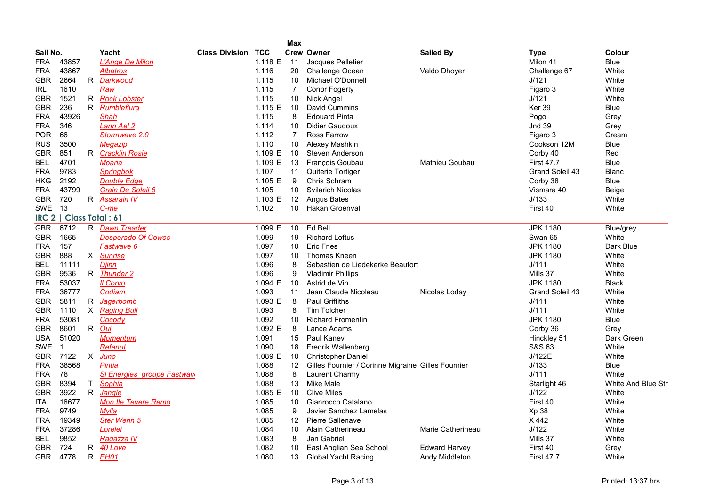|            |                          |              |                                    |         | Max               |                                                    |                      |                   |                     |
|------------|--------------------------|--------------|------------------------------------|---------|-------------------|----------------------------------------------------|----------------------|-------------------|---------------------|
| Sail No.   |                          |              | Yacht<br><b>Class Division TCC</b> |         |                   | <b>Crew Owner</b>                                  | <b>Sailed By</b>     | <b>Type</b>       | Colour              |
| FRA        | 43857                    |              | L'Ange De Milon                    | 1.118 E | 11                | Jacques Pelletier                                  |                      | Milon 41          | <b>Blue</b>         |
| FRA        | 43867                    |              | Albatros                           | 1.116   | 20                | <b>Challenge Ocean</b>                             | Valdo Dhoyer         | Challenge 67      | White               |
| GBR        | 2664                     |              | R Darkwood                         | 1.115   | 10                | Michael O'Donnell                                  |                      | J/121             | White               |
| IRL        | 1610                     |              | Raw                                | 1.115   | $\overline{7}$    | <b>Conor Fogerty</b>                               |                      | Figaro 3          | White               |
| GBR        | 1521                     |              | R Rock Lobster                     | 1.115   | 10                | <b>Nick Angel</b>                                  |                      | J/121             | White               |
| GBR        | 236                      | R            | Rumbleflurg                        | 1.115 E | 10                | David Cummins                                      |                      | Ker 39            | Blue                |
| <b>FRA</b> | 43926                    |              | Shah                               | 1.115   | 8                 | <b>Edouard Pinta</b>                               |                      | Pogo              | Grey                |
| <b>FRA</b> | 346                      |              | Lann Ael 2                         | 1.114   | 10                | Didier Gaudoux                                     |                      | <b>Jnd 39</b>     | Grey                |
| <b>POR</b> | 66                       |              | Stormwave 2.0                      | 1.112   | $\overline{7}$    | <b>Ross Farrow</b>                                 |                      | Figaro 3          | Cream               |
| <b>RUS</b> | 3500                     |              | Megazip                            | 1.110   | 10                | Alexey Mashkin                                     |                      | Cookson 12M       | <b>Blue</b>         |
| <b>GBR</b> | 851                      |              | R Cracklin Rosie                   | 1.109 E | 10                | Steven Anderson                                    |                      | Corby 40          | Red                 |
| BEL        | 4701                     |              | Moana                              | 1.109 E | 13                | François Goubau                                    | Mathieu Goubau       | <b>First 47.7</b> | <b>Blue</b>         |
| <b>FRA</b> | 9783                     |              | Springbok                          | 1.107   | 11                | Quiterie Tortiger                                  |                      | Grand Soleil 43   | <b>Blanc</b>        |
| <b>HKG</b> | 2192                     |              | <b>Double Edge</b>                 | 1.105 E | 9                 | Chris Schram                                       |                      | Corby 38          | Blue                |
| <b>FRA</b> | 43799                    |              | Grain De Soleil 6                  | 1.105   | 10                | <b>Svilarich Nicolas</b>                           |                      | Vismara 40        | Beige               |
| <b>GBR</b> | 720                      |              | R Assarain IV                      | 1.103 E | 12                | <b>Angus Bates</b>                                 |                      | J/133             | White               |
| <b>SWE</b> | 13                       |              | $C$ -me                            | 1.102   | 10 <sup>°</sup>   | <b>Hakan Groenvall</b>                             |                      | First 40          | White               |
|            | IRC 2   Class Total : 61 |              |                                    |         |                   |                                                    |                      |                   |                     |
| <b>GBR</b> | 6712                     |              | R Dawn Treader                     | 1.099 E | 10                | Ed Bell                                            |                      | <b>JPK 1180</b>   | Blue/grey           |
| GBR        | 1665                     |              | <b>Desperado Of Cowes</b>          | 1.099   | 19                | <b>Richard Loftus</b>                              |                      | Swan 65           | White               |
| <b>FRA</b> | 157                      |              | Fastwave 6                         | 1.097   | 10                | <b>Eric Fries</b>                                  |                      | <b>JPK 1180</b>   | Dark Blue           |
| GBR        | 888                      |              | X Sunrise                          | 1.097   | 10                | <b>Thomas Kneen</b>                                |                      | <b>JPK 1180</b>   | White               |
| BEL        | 11111                    |              | <b>Djinn</b>                       | 1.096   | 8                 | Sebastien de Liedekerke Beaufort                   |                      | J/111             | White               |
| GBR        | 9536                     |              | R Thunder 2                        | 1.096   | 9                 | <b>Vladimir Phillips</b>                           |                      | Mills 37          | White               |
| <b>FRA</b> | 53037                    |              | Il Corvo                           | 1.094 E | 10                | Astrid de Vin                                      |                      | <b>JPK 1180</b>   | <b>Black</b>        |
| <b>FRA</b> | 36777                    |              | Codiam                             | 1.093   | 11                | Jean Claude Nicoleau                               | Nicolas Loday        | Grand Soleil 43   | White               |
| <b>GBR</b> | 5811                     | R            | Jagerbomb                          | 1.093 E | 8                 | <b>Paul Griffiths</b>                              |                      | J/111             | White               |
| GBR        | 1110                     |              | X Raging Bull                      | 1.093   | 8                 | <b>Tim Tolcher</b>                                 |                      | J/111             | White               |
| <b>FRA</b> | 53081                    |              | Cocody                             | 1.092   | 10                | <b>Richard Fromentin</b>                           |                      | <b>JPK 1180</b>   | <b>Blue</b>         |
| <b>GBR</b> | 8601                     | R            | <u>Oui</u>                         | 1.092 E | 8                 | Lance Adams                                        |                      | Corby 36          | Grey                |
| USA        | 51020                    |              | <b>Momentum</b>                    | 1.091   | 15                | Paul Kanev                                         |                      | Hinckley 51       | Dark Green          |
| SWE        | $\overline{1}$           |              | Refanut                            | 1.090   | 18                | <b>Fredrik Wallenberg</b>                          |                      | S&S 63            | White               |
| GBR        | 7122                     | $\mathsf{X}$ | Juno                               | 1.089 E | 10                | <b>Christopher Daniel</b>                          |                      | J/122E            | White               |
| FRA        | 38568                    |              | Pintia                             | 1.088   | 12                | Gilles Fournier / Corinne Migraine Gilles Fournier |                      | J/133             | Blue                |
| <b>FRA</b> | 78                       |              | <b>SI Energies groupe Fastwave</b> | 1.088   | 8                 | Laurent Charmy                                     |                      | J/111             | White               |
| <b>GBR</b> | 8394                     | T.           | Sophia                             | 1.088   | 13                | Mike Male                                          |                      | Starlight 46      | White And Blue Stri |
| <b>GBR</b> | 3922                     | $\mathsf R$  | Jangle                             | 1.085 E | 10                | <b>Clive Miles</b>                                 |                      | J/122             | White               |
| <b>ITA</b> | 16677                    |              | <b>Mon Ile Tevere Remo</b>         | 1.085   | 10                | Gianrocco Catalano                                 |                      | First 40          | White               |
| <b>FRA</b> | 9749                     |              | Mylla                              | 1.085   | 9                 | Javier Sanchez Lamelas                             |                      | Xp 38             | White               |
| FRA        | 19349                    |              | Ster Wenn 5                        | 1.085   | $12 \overline{ }$ | Pierre Sallenave                                   |                      | X442              | White               |
| <b>FRA</b> | 37286                    |              | Lorelei                            | 1.084   | 10                | Alain Catherineau                                  | Marie Catherineau    | J/122             | White               |
| BEL        | 9852                     |              | Ragazza IV                         | 1.083   | 8                 | Jan Gabriel                                        |                      | Mills 37          | White               |
| <b>GBR</b> | 724                      | R            | 40 Love                            | 1.082   | 10                | East Anglian Sea School                            | <b>Edward Harvey</b> | First 40          | Grey                |
| <b>GBR</b> | 4778                     | R.           | EH01                               | 1.080   | 13                | <b>Global Yacht Racing</b>                         | Andy Middleton       | <b>First 47.7</b> | White               |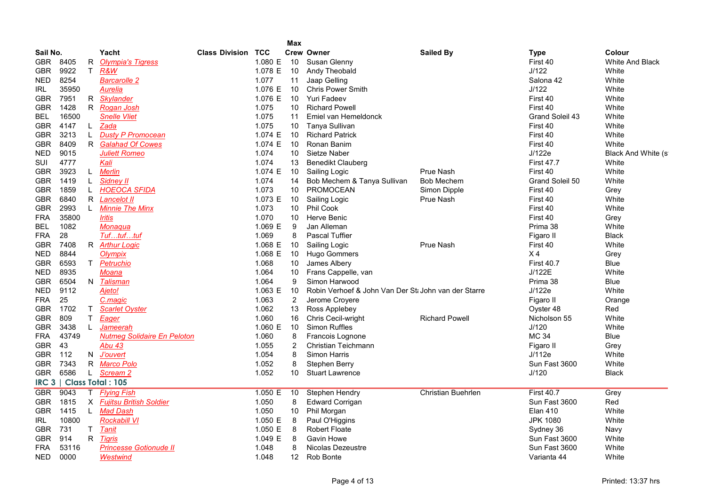|            |       |              |                                    |                       |            | <b>Max</b> |                                                      |                           |                   |                        |
|------------|-------|--------------|------------------------------------|-----------------------|------------|------------|------------------------------------------------------|---------------------------|-------------------|------------------------|
| Sail No.   |       |              | Yacht                              | <b>Class Division</b> | <b>TCC</b> |            | <b>Crew Owner</b>                                    | <b>Sailed By</b>          | <b>Type</b>       | Colour                 |
| <b>GBR</b> | 8405  | R            | <b>Olympia's Tigress</b>           |                       | 1.080 E    | 10         | Susan Glenny                                         |                           | First 40          | <b>White And Black</b> |
| GBR        | 9922  | $\mathsf{T}$ | R&W                                |                       | 1.078 E    | 10         | Andy Theobald                                        |                           | J/122             | White                  |
| <b>NED</b> | 8254  |              | <b>Barcarolle 2</b>                |                       | 1.077      | 11         | Jaap Gelling                                         |                           | Salona 42         | White                  |
| IRL        | 35950 |              | Aurelia                            |                       | 1.076 E    | 10         | <b>Chris Power Smith</b>                             |                           | J/122             | White                  |
| <b>GBR</b> | 7951  | R            | <b>Skylander</b>                   |                       | 1.076 E    | 10         | <b>Yuri Fadeev</b>                                   |                           | First 40          | White                  |
| <b>GBR</b> | 1428  |              | R Rogan Josh                       |                       | 1.075      | 10         | <b>Richard Powell</b>                                |                           | First 40          | White                  |
| BEL        | 16500 |              | <b>Snelle Vliet</b>                |                       | 1.075      | 11         | Emiel van Hemeldonck                                 |                           | Grand Soleil 43   | White                  |
| <b>GBR</b> | 4147  | $\mathsf{L}$ | Zada                               |                       | 1.075      | 10         | Tanya Sullivan                                       |                           | First 40          | White                  |
| <b>GBR</b> | 3213  | L            | <b>Dusty P Promocean</b>           |                       | 1.074 E    | 10         | <b>Richard Patrick</b>                               |                           | First 40          | White                  |
| <b>GBR</b> | 8409  |              | R Galahad Of Cowes                 |                       | 1.074 E    | 10         | Ronan Banim                                          |                           | First 40          | White                  |
| <b>NED</b> | 9015  |              | <b>Juliett Romeo</b>               |                       | 1.074      | 10         | Sietze Naber                                         |                           | J/122e            | Black And White (s)    |
| SUI        | 4777  |              | Kali                               |                       | 1.074      | 13         | <b>Benedikt Clauberg</b>                             |                           | <b>First 47.7</b> | White                  |
| <b>GBR</b> | 3923  | $\mathsf{L}$ | <b>Merlin</b>                      |                       | 1.074 E    | 10         | Sailing Logic                                        | <b>Prue Nash</b>          | First 40          | White                  |
| <b>GBR</b> | 1419  | L            | <b>Sidney II</b>                   |                       | 1.074      | 14         | Bob Mechem & Tanya Sullivan                          | Bob Mechem                | Grand Soleil 50   | White                  |
| <b>GBR</b> | 1859  | L            | <b>HOEOCA SFIDA</b>                |                       | 1.073      | 10         | <b>PROMOCEAN</b>                                     | Simon Dipple              | First 40          | Grey                   |
| <b>GBR</b> | 6840  | R            | Lancelot II                        |                       | 1.073 E    | 10         | Sailing Logic                                        | <b>Prue Nash</b>          | First 40          | White                  |
| <b>GBR</b> | 2993  | L            | <b>Minnie The Minx</b>             |                       | 1.073      | 10         | <b>Phil Cook</b>                                     |                           | First 40          | White                  |
| <b>FRA</b> | 35800 |              | <i><b>Iritis</b></i>               |                       | 1.070      | 10         | Herve Benic                                          |                           | First 40          | Grey                   |
| BEL        | 1082  |              | Monaqua                            |                       | 1.069 E    | 9          | Jan Alleman                                          |                           | Prima 38          | White                  |
| <b>FRA</b> | 28    |              | Tuftuftuf                          |                       | 1.069      | 8          | <b>Pascal Tuffier</b>                                |                           | Figaro II         | <b>Black</b>           |
| GBR        | 7408  | R            | <b>Arthur Logic</b>                |                       | 1.068 E    | 10         | Sailing Logic                                        | Prue Nash                 | First 40          | White                  |
| NED        | 8844  |              | Olympix                            |                       | 1.068 E    | 10         | <b>Hugo Gommers</b>                                  |                           | X <sub>4</sub>    | Grey                   |
| GBR        | 6593  | T.           | Petruchio                          |                       | 1.068      | 10         | James Albery                                         |                           | <b>First 40.7</b> | Blue                   |
| <b>NED</b> | 8935  |              | Moana                              |                       | 1.064      | 10         | Frans Cappelle, van                                  |                           | J/122E            | White                  |
| GBR        | 6504  | N            | Talisman                           |                       | 1.064      | 9          | Simon Harwood                                        |                           | Prima 38          | Blue                   |
| NED        | 9112  |              | Ajeto!                             |                       | 1.063 E    | 10         | Robin Verhoef & John Van Der St: John van der Starre |                           | J/122e            | White                  |
| <b>FRA</b> | 25    |              | C.magic                            |                       | 1.063      | 2          | Jerome Croyere                                       |                           | Figaro II         | Orange                 |
| GBR        | 1702  | T            | <b>Scarlet Oyster</b>              |                       | 1.062      | 13         | Ross Applebey                                        |                           | Oyster 48         | Red                    |
| <b>GBR</b> | 809   | T.           | Eager                              |                       | 1.060      | 16         | Chris Cecil-wright                                   | <b>Richard Powell</b>     | Nicholson 55      | White                  |
| <b>GBR</b> | 3438  | $\mathsf{L}$ | Jameerah                           |                       | 1.060 E    | 10         | <b>Simon Ruffles</b>                                 |                           | J/120             | White                  |
| <b>FRA</b> | 43749 |              | <b>Nutmeg Solidaire En Peloton</b> |                       | 1.060      | 8          | Francois Lognone                                     |                           | <b>MC 34</b>      | Blue                   |
| <b>GBR</b> | 43    |              | Abu 43                             |                       | 1.055      | 2          | Christian Teichmann                                  |                           | Figaro II         | Grey                   |
| <b>GBR</b> | 112   | N            | <b>J'ouvert</b>                    |                       | 1.054      | 8          | <b>Simon Harris</b>                                  |                           | J/112e            | White                  |
| <b>GBR</b> | 7343  | R            | <u> Marco Polo</u>                 |                       | 1.052      | 8          | Stephen Berry                                        |                           | Sun Fast 3600     | White                  |
| <b>GBR</b> | 6586  |              | L Scream 2                         |                       | 1.052      | 10         | <b>Stuart Lawrence</b>                               |                           | J/120             | <b>Black</b>           |
| RC3        |       |              | <b>Class Total: 105</b>            |                       |            |            |                                                      |                           |                   |                        |
| <b>GBR</b> | 9043  | T.           | <b>Flying Fish</b>                 |                       | 1.050 E    | 10         | <b>Stephen Hendry</b>                                | <b>Christian Buehrlen</b> | <b>First 40.7</b> | Grey                   |
| <b>GBR</b> | 1815  |              | X Fujitsu British Soldier          |                       | 1.050      | 8          | <b>Edward Corrigan</b>                               |                           | Sun Fast 3600     | Red                    |
| <b>GBR</b> | 1415  |              | L Mad Dash                         |                       | 1.050      | 10         | Phil Morgan                                          |                           | <b>Elan 410</b>   | White                  |
| IRL        | 10800 |              | Rockabill VI                       |                       | 1.050 E    | 8          | Paul O'Higgins                                       |                           | <b>JPK 1080</b>   | White                  |
| <b>GBR</b> | 731   | T.           | Tanit                              |                       | 1.050 E    | 8          | <b>Robert Floate</b>                                 |                           | Sydney 36         | Navy                   |
| <b>GBR</b> | 914   | R            | <u>Tigris</u>                      |                       | 1.049 E    | 8          | Gavin Howe                                           |                           | Sun Fast 3600     | White                  |
| <b>FRA</b> | 53116 |              | <b>Princesse Gotionude II</b>      |                       | 1.048      | 8          | Nicolas Dezeustre                                    |                           | Sun Fast 3600     | White                  |
| NED        | 0000  |              | <b>Westwind</b>                    |                       | 1.048      | 12         | Rob Bonte                                            |                           | Varianta 44       | White                  |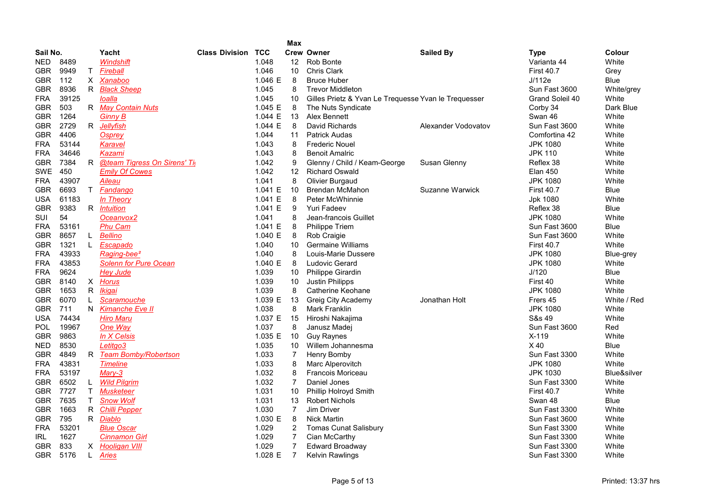|            | <b>Max</b> |              |                               |                       |            |                |                                                      |                     |                   |             |  |  |  |
|------------|------------|--------------|-------------------------------|-----------------------|------------|----------------|------------------------------------------------------|---------------------|-------------------|-------------|--|--|--|
| Sail No.   |            |              | Yacht                         | <b>Class Division</b> | <b>TCC</b> |                | <b>Crew Owner</b>                                    | <b>Sailed By</b>    | <b>Type</b>       | Colour      |  |  |  |
| NED.       | 8489       |              | Windshift                     |                       | 1.048      | 12             | Rob Bonte                                            |                     | Varianta 44       | White       |  |  |  |
| <b>GBR</b> | 9949       | $\mathsf T$  | Fireball                      |                       | 1.046      | 10             | <b>Chris Clark</b>                                   |                     | <b>First 40.7</b> | Grey        |  |  |  |
| <b>GBR</b> | 112        |              | X Xanaboo                     |                       | 1.046 $E$  | 8              | <b>Bruce Huber</b>                                   |                     | J/112e            | <b>Blue</b> |  |  |  |
| <b>GBR</b> | 8936       |              | R Black Sheep                 |                       | 1.045      | 8              | <b>Trevor Middleton</b>                              |                     | Sun Fast 3600     | White/grey  |  |  |  |
| <b>FRA</b> | 39125      |              | loalla                        |                       | 1.045      | 10             | Gilles Prietz & Yvan Le Trequesse Yvan le Trequesser |                     | Grand Soleil 40   | White       |  |  |  |
| GBR.       | 503        |              | R May Contain Nuts            |                       | 1.045 E    | 8              | The Nuts Syndicate                                   |                     | Corby 34          | Dark Blue   |  |  |  |
| GBR.       | 1264       |              | Gi <u>nny B</u>               |                       | 1.044 E    | 13             | Alex Bennett                                         |                     | Swan 46           | White       |  |  |  |
| <b>GBR</b> | 2729       | $\mathsf{R}$ | Jellyfish                     |                       | 1.044 E    | 8              | David Richards                                       | Alexander Vodovatov | Sun Fast 3600     | White       |  |  |  |
| <b>GBR</b> | 4406       |              | Osprev                        |                       | 1.044      | 11             | <b>Patrick Audas</b>                                 |                     | Comfortina 42     | White       |  |  |  |
| <b>FRA</b> | 53144      |              | Karavel                       |                       | 1.043      | 8              | <b>Frederic Nouel</b>                                |                     | <b>JPK 1080</b>   | White       |  |  |  |
| <b>FRA</b> | 34646      |              | Kazami                        |                       | 1.043      | 8              | <b>Benoit Amalric</b>                                |                     | <b>JPK 110</b>    | White       |  |  |  |
| <b>GBR</b> | 7384       |              | R @team Tigress On Sirens' Ti |                       | 1.042      | 9              | Glenny / Child / Keam-George                         | Susan Glenny        | Reflex 38         | White       |  |  |  |
| <b>SWE</b> | 450        |              | <b>Emily Of Cowes</b>         |                       | 1.042      | 12             | <b>Richard Oswald</b>                                |                     | <b>Elan 450</b>   | White       |  |  |  |
| <b>FRA</b> | 43907      |              | Aileau                        |                       | 1.041      | 8              | Olivier Burgaud                                      |                     | <b>JPK 1080</b>   | White       |  |  |  |
| <b>GBR</b> | 6693       | T.           | Fandango                      |                       | 1.041 E    | 10             | <b>Brendan McMahon</b>                               | Suzanne Warwick     | <b>First 40.7</b> | Blue        |  |  |  |
| <b>USA</b> | 61183      |              | In Theory                     |                       | 1.041 E    | 8              | <b>Peter McWhinnie</b>                               |                     | Jpk 1080          | White       |  |  |  |
| <b>GBR</b> | 9383       |              | R <i>Intuition</i>            |                       | 1.041 E    | 9              | <b>Yuri Fadeev</b>                                   |                     | Reflex 38         | Blue        |  |  |  |
| SUI        | 54         |              | Oceanvox2                     |                       | 1.041      | 8              | Jean-francois Guillet                                |                     | <b>JPK 1080</b>   | White       |  |  |  |
| <b>FRA</b> | 53161      |              | <b>Phu Cam</b>                |                       | 1.041 E    | 8              | <b>Philippe Triem</b>                                |                     | Sun Fast 3600     | Blue        |  |  |  |
| <b>GBR</b> | 8657       | L.           | <b>Bellino</b>                |                       | 1.040 E    | 8              | Rob Craigie                                          |                     | Sun Fast 3600     | White       |  |  |  |
| <b>GBR</b> | 1321       | L.           | Escapado                      |                       | 1.040      | 10             | <b>Germaine Williams</b>                             |                     | <b>First 40.7</b> | White       |  |  |  |
| <b>FRA</b> | 43933      |              | Raging-bee <sup>2</sup>       |                       | 1.040      | 8              | Louis-Marie Dussere                                  |                     | <b>JPK 1080</b>   | Blue-grey   |  |  |  |
| <b>FRA</b> | 43853      |              | <b>Solenn for Pure Ocean</b>  |                       | 1.040 E    | 8              | <b>Ludovic Gerard</b>                                |                     | <b>JPK 1080</b>   | White       |  |  |  |
| <b>FRA</b> | 9624       |              | <b>Hey Jude</b>               |                       | 1.039      | 10             | Philippe Girardin                                    |                     | J/120             | Blue        |  |  |  |
| <b>GBR</b> | 8140       |              | X Horus                       |                       | 1.039      | 10             | <b>Justin Philipps</b>                               |                     | First 40          | White       |  |  |  |
| <b>GBR</b> | 1653       | R            | Ikiqai                        |                       | 1.039      | 8              | Catherine Keohane                                    |                     | <b>JPK 1080</b>   | White       |  |  |  |
| <b>GBR</b> | 6070       | L.           | Scaramouche                   |                       | 1.039 E    | 13             | Greig City Academy                                   | Jonathan Holt       | Frers 45          | White / Red |  |  |  |
| <b>GBR</b> | 711        | N.           | Kimanche Eve II               |                       | 1.038      | 8              | <b>Mark Franklin</b>                                 |                     | <b>JPK 1080</b>   | White       |  |  |  |
| <b>USA</b> | 74434      |              | <b>Hiro Maru</b>              |                       | 1.037 E    | 15             | Hiroshi Nakajima                                     |                     | S&s 49            | White       |  |  |  |
| <b>POL</b> | 19967      |              | One Way                       |                       | 1.037      | 8              | Janusz Madej                                         |                     | Sun Fast 3600     | Red         |  |  |  |
| GBR.       | 9863       |              | In X Celsis                   |                       | 1.035 E    | 10             | <b>Guy Raynes</b>                                    |                     | $X-119$           | White       |  |  |  |
| <b>NED</b> | 8530       |              | Letitgo3                      |                       | 1.035      | 10             | Willem Johannesma                                    |                     | $X$ 40            | Blue        |  |  |  |
| <b>GBR</b> | 4849       | R            | <b>Team Bomby/Robertson</b>   |                       | 1.033      | $\overline{7}$ | Henry Bomby                                          |                     | Sun Fast 3300     | White       |  |  |  |
| <b>FRA</b> | 43831      |              | <b>Timeline</b>               |                       | 1.033      | 8              | Marc Alperovitch                                     |                     | <b>JPK 1080</b>   | White       |  |  |  |
| <b>FRA</b> | 53197      |              | Mary-3                        |                       | 1.032      | 8              | <b>Francois Moriceau</b>                             |                     | <b>JPK 1030</b>   | Blue&silver |  |  |  |
| GBR        | 6502       | L.           | <b>Wild Pilgrim</b>           |                       | 1.032      | $\overline{7}$ | Daniel Jones                                         |                     | Sun Fast 3300     | White       |  |  |  |
| GBR.       | 7727       | T.           | <b>Musketeer</b>              |                       | 1.031      | 10             | <b>Phillip Holroyd Smith</b>                         |                     | <b>First 40.7</b> | White       |  |  |  |
| GBR.       | 7635       | T.           | <b>Snow Wolf</b>              |                       | 1.031      | 13             | <b>Robert Nichols</b>                                |                     | Swan 48           | Blue        |  |  |  |
| GBR.       | 1663       | R            | <b>Chilli Pepper</b>          |                       | 1.030      | $\overline{7}$ | Jim Driver                                           |                     | Sun Fast 3300     | White       |  |  |  |
| <b>GBR</b> | 795        |              | R Diablo                      |                       | 1.030 E    | 8              | <b>Nick Martin</b>                                   |                     | Sun Fast 3600     | White       |  |  |  |
| <b>FRA</b> | 53201      |              | <b>Blue Oscar</b>             |                       | 1.029      | $\overline{c}$ | <b>Tomas Cunat Salisbury</b>                         |                     | Sun Fast 3300     | White       |  |  |  |
| IRL        | 1627       |              | <b>Cinnamon Girl</b>          |                       | 1.029      | $\overline{7}$ | Cian McCarthy                                        |                     | Sun Fast 3300     | White       |  |  |  |
| <b>GBR</b> | 833        |              | X Hooligan VIII               |                       | 1.029      | 7              | <b>Edward Broadway</b>                               |                     | Sun Fast 3300     | White       |  |  |  |
| GBR.       | 5176       | L.           | <b>Aries</b>                  |                       | 1.028 E    | $\overline{7}$ | <b>Kelvin Rawlings</b>                               |                     | Sun Fast 3300     | White       |  |  |  |
|            |            |              |                               |                       |            |                |                                                      |                     |                   |             |  |  |  |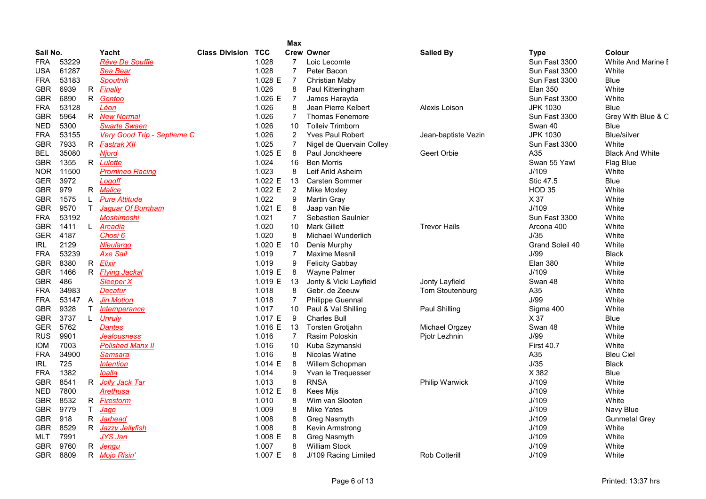|            |       |              |                                   |                       |            | Max            |                          |                       |                   |                        |
|------------|-------|--------------|-----------------------------------|-----------------------|------------|----------------|--------------------------|-----------------------|-------------------|------------------------|
| Sail No.   |       |              | Yacht                             | <b>Class Division</b> | <b>TCC</b> |                | <b>Crew Owner</b>        | <b>Sailed By</b>      | <b>Type</b>       | <b>Colour</b>          |
| <b>FRA</b> | 53229 |              | <b>Rêve De Souffle</b>            |                       | 1.028      | 7              | Loic Lecomte             |                       | Sun Fast 3300     | White And Marine I     |
| <b>USA</b> | 61287 |              | Sea Bear                          |                       | 1.028      | $\overline{7}$ | Peter Bacon              |                       | Sun Fast 3300     | White                  |
| <b>FRA</b> | 53183 |              | <b>Spoutnik</b>                   |                       | 1.028 E    | $\overline{7}$ | Christian Maby           |                       | Sun Fast 3300     | <b>Blue</b>            |
| <b>GBR</b> | 6939  |              | R <i>Finally</i>                  |                       | 1.026      | 8              | Paul Kitteringham        |                       | <b>Elan 350</b>   | White                  |
| <b>GBR</b> | 6890  |              | R Gentoo                          |                       | 1.026 E    | $\overline{7}$ | James Harayda            |                       | Sun Fast 3300     | White                  |
| <b>FRA</b> | 53128 |              | Léon                              |                       | 1.026      | 8              | Jean Pierre Kelbert      | Alexis Loison         | <b>JPK 1030</b>   | <b>Blue</b>            |
| <b>GBR</b> | 5964  |              | R New Normal                      |                       | 1.026      | $\overline{7}$ | <b>Thomas Fenemore</b>   |                       | Sun Fast 3300     | Grey With Blue & C     |
| <b>NED</b> | 5300  |              | <b>Swarte Swaen</b>               |                       | 1.026      | 10             | <b>Tolleiv Trimborn</b>  |                       | Swan 40           | <b>Blue</b>            |
| <b>FRA</b> | 53155 |              | Very Good Trip - Septieme C       |                       | 1.026      | 2              | <b>Yves Paul Robert</b>  | Jean-baptiste Vezin   | <b>JPK 1030</b>   | <b>Blue/silver</b>     |
| <b>GBR</b> | 7933  |              | R Fastrak XII                     |                       | 1.025      | 7              | Nigel de Quervain Colley |                       | Sun Fast 3300     | White                  |
| <b>BEL</b> | 35080 |              | <b>Njord</b>                      |                       | 1.025 E    | 8              | Paul Jonckheere          | Geert Orbie           | A35               | <b>Black And White</b> |
| <b>GBR</b> | 1355  |              | R Lulotte                         |                       | 1.024      | 16             | <b>Ben Morris</b>        |                       | Swan 55 Yawl      | Flag Blue              |
| NOR.       | 11500 |              | <b>Promineo Racing</b>            |                       | 1.023      | 8              | Leif Arild Asheim        |                       | J/109             | White                  |
| <b>GER</b> | 3972  |              | Logoff                            |                       | 1.022 E    | 13             | <b>Carsten Sommer</b>    |                       | Stic 47.5         | <b>Blue</b>            |
| <b>GBR</b> | 979   |              | R Malice                          |                       | 1.022 E    | 2              | <b>Mike Moxley</b>       |                       | <b>HOD 35</b>     | White                  |
| <b>GBR</b> | 1575  | L.           | <b>Pure Attitude</b>              |                       | 1.022      | 9              | Martin Gray              |                       | X 37              | White                  |
| <b>GBR</b> | 9570  | $\mathsf{T}$ | Jaguar Of Burnham                 |                       | 1.021 E    | 8              | Jaap van Nie             |                       | J/109             | White                  |
| <b>FRA</b> | 53192 |              | <b>Moshimoshi</b>                 |                       | 1.021      | $\overline{7}$ | Sebastien Saulnier       |                       | Sun Fast 3300     | White                  |
| <b>GBR</b> | 1411  |              | L Arcadia                         |                       | 1.020      | 10             | <b>Mark Gillett</b>      | <b>Trevor Hails</b>   | Arcona 400        | White                  |
| <b>GER</b> | 4187  |              | Chosi <sub>6</sub>                |                       | 1.020      | 8              | Michael Wunderlich       |                       | J/35              | White                  |
| <b>IRL</b> | 2129  |              | Nieulargo                         |                       | 1.020 E    | 10             | Denis Murphy             |                       | Grand Soleil 40   | White                  |
| <b>FRA</b> | 53239 |              | <b>Axe Sail</b>                   |                       | 1.019      | $\overline{7}$ | <b>Maxime Mesnil</b>     |                       | J/99              | <b>Black</b>           |
| <b>GBR</b> | 8380  |              | R <i>Elixir</i>                   |                       | 1.019      | 9              | <b>Felicity Gabbay</b>   |                       | <b>Elan 380</b>   | White                  |
| <b>GBR</b> | 1466  |              | R Flying Jackal                   |                       | 1.019 E    | 8              | <b>Wayne Palmer</b>      |                       | J/109             | White                  |
| <b>GBR</b> | 486   |              | Sleeper X                         |                       | 1.019 E    | 13             | Jonty & Vicki Layfield   | Jonty Layfield        | Swan 48           | White                  |
| <b>FRA</b> | 34983 |              | Decatur                           |                       | 1.018      | 8              | Gebr. de Zeeuw           | Tom Stoutenburg       | A35               | White                  |
| <b>FRA</b> | 53147 | $\mathsf{A}$ | <b>Jin Motion</b>                 |                       | 1.018      | $\overline{7}$ | <b>Philippe Guennal</b>  |                       | J/99              | White                  |
| <b>GBR</b> | 9328  | $\mathsf{T}$ | <i><u><b>Intemperance</b></u></i> |                       | 1.017      | 10             | Paul & Val Shilling      | Paul Shilling         | Sigma 400         | White                  |
| <b>GBR</b> | 3737  | L            | <b>Unruly</b>                     |                       | 1.017 $E$  | $9\,$          | <b>Charles Bull</b>      |                       | X 37              | Blue                   |
| <b>GER</b> | 5762  |              | <b>Dantes</b>                     |                       | 1.016 E    | 13             | Torsten Grotjahn         | Michael Orgzey        | Swan 48           | White                  |
| <b>RUS</b> | 9901  |              | <b>Jealousness</b>                |                       | 1.016      | $\overline{7}$ | Rasim Poloskin           | Pjotr Lezhnin         | J/99              | White                  |
| <b>IOM</b> | 7003  |              | <b>Polished Manx II</b>           |                       | 1.016      | 10             | Kuba Szymanski           |                       | <b>First 40.7</b> | White                  |
| <b>FRA</b> | 34900 |              | Samsara                           |                       | 1.016      | 8              | Nicolas Watine           |                       | A35               | <b>Bleu Ciel</b>       |
| <b>IRL</b> | 725   |              | <i><u><b>Intention</b></u></i>    |                       | 1.014 E    | 8              | Willem Schopman          |                       | J/35              | <b>Black</b>           |
| <b>FRA</b> | 1382  |              | loalla                            |                       | 1.014      | 9              | Yvan le Trequesser       |                       | X 382             | Blue                   |
| <b>GBR</b> | 8541  | R            | Jolly Jack Tar                    |                       | 1.013      | 8              | <b>RNSA</b>              | <b>Philip Warwick</b> | J/109             | White                  |
| <b>NED</b> | 7800  |              | Arethusa                          |                       | 1.012 E    | 8              | Kees Mijs                |                       | J/109             | White                  |
| <b>GBR</b> | 8532  |              | R Firestorm                       |                       | 1.010      | 8              | Wim van Slooten          |                       | J/109             | White                  |
| <b>GBR</b> | 9779  | T.           | Jago                              |                       | 1.009      | 8              | <b>Mike Yates</b>        |                       | J/109             | Navy Blue              |
| <b>GBR</b> | 918   | R.           | Jarhead                           |                       | 1.008      | 8              | Greg Nasmyth             |                       | J/109             | <b>Gunmetal Grey</b>   |
| <b>GBR</b> | 8529  | R.           | <u>Jazzy Jellyfish</u>            |                       | 1.008      | 8              | Kevin Armstrong          |                       | J/109             | White                  |
| MLT        | 7991  |              | JYS Jan                           |                       | 1.008 E    | 8              | Greg Nasmyth             |                       | J/109             | White                  |
| <b>GBR</b> | 9760  | R            | Jenqu                             |                       | 1.007      | 8              | <b>William Stock</b>     |                       | J/109             | White                  |
| <b>GBR</b> | 8809  |              | R Mojo Risin'                     |                       | 1.007 E    | 8              | J/109 Racing Limited     | <b>Rob Cotterill</b>  | J/109             | White                  |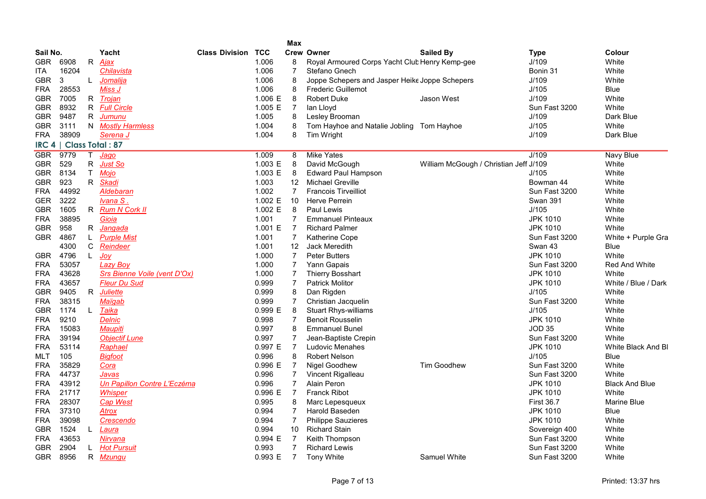|            |                         |              |                                     |                           |         | <b>Max</b>     |                                                |                                        |                   |                       |
|------------|-------------------------|--------------|-------------------------------------|---------------------------|---------|----------------|------------------------------------------------|----------------------------------------|-------------------|-----------------------|
| Sail No.   |                         |              | Yacht                               | <b>Class Division TCC</b> |         |                | <b>Crew Owner</b>                              | <b>Sailed By</b>                       | <b>Type</b>       | Colour                |
| <b>GBR</b> | 6908                    | R            | <u>Ajax</u>                         |                           | 1.006   | 8              | Royal Armoured Corps Yacht Club Henry Kemp-gee |                                        | J/109             | White                 |
| ITA.       | 16204                   |              | <u>Chilavista</u>                   |                           | 1.006   | $\overline{7}$ | Stefano Gnech                                  |                                        | Bonin 31          | White                 |
| <b>GBR</b> | 3                       | L.           | Jomalija                            |                           | 1.006   | 8              | Joppe Schepers and Jasper Heike Joppe Schepers |                                        | J/109             | White                 |
| <b>FRA</b> | 28553                   |              | Miss J                              |                           | 1.006   | 8              | <b>Frederic Guillemot</b>                      |                                        | J/105             | Blue                  |
| <b>GBR</b> | 7005                    |              | R Trojan                            |                           | 1.006 E | 8              | <b>Robert Duke</b>                             | Jason West                             | J/109             | White                 |
| <b>GBR</b> | 8932                    |              | R Full Circle                       |                           | 1.005 E | $\overline{7}$ | lan Lloyd                                      |                                        | Sun Fast 3200     | White                 |
| <b>GBR</b> | 9487                    | R            | Jumunu                              |                           | 1.005   | 8              | Lesley Brooman                                 |                                        | J/109             | Dark Blue             |
| GBR        | 3111                    |              | N Mostly Harmless                   |                           | 1.004   | 8              | Tom Hayhoe and Natalie Jobling Tom Hayhoe      |                                        | J/105             | White                 |
| <b>FRA</b> | 38909                   |              | Serena J                            |                           | 1.004   | 8              | Tim Wright                                     |                                        | J/109             | Dark Blue             |
|            | IRC 4   Class Total: 87 |              |                                     |                           |         |                |                                                |                                        |                   |                       |
| <b>GBR</b> | 9779                    | T.           | Jago                                |                           | 1.009   | 8              | <b>Mike Yates</b>                              |                                        | J/109             | <b>Navy Blue</b>      |
| <b>GBR</b> | 529                     | R            | Just So                             |                           | 1.003 E | 8              | David McGough                                  | William McGough / Christian Jeff J/109 |                   | White                 |
| <b>GBR</b> | 8134                    | T.           | Mojo                                |                           | 1.003 E | 8              | <b>Edward Paul Hampson</b>                     |                                        | J/105             | White                 |
| <b>GBR</b> | 923                     | R.           | Skadi                               |                           | 1.003   | 12             | <b>Michael Greville</b>                        |                                        | Bowman 44         | White                 |
| <b>FRA</b> | 44992                   |              | <b>Aldebaran</b>                    |                           | 1.002   | $\overline{7}$ | <b>Francois Tirveilliot</b>                    |                                        | Sun Fast 3200     | White                 |
| <b>GER</b> | 3222                    |              | Ivana S.                            |                           | 1.002 E | 10             | <b>Herve Perrein</b>                           |                                        | <b>Swan 391</b>   | White                 |
| <b>GBR</b> | 1605                    | R            | <b>Rum N Cork II</b>                |                           | 1.002 E | 8              | Paul Lewis                                     |                                        | J/105             | White                 |
| <b>FRA</b> | 38895                   |              | Gioia                               |                           | 1.001   | $\overline{7}$ | <b>Emmanuel Pinteaux</b>                       |                                        | <b>JPK 1010</b>   | White                 |
| <b>GBR</b> | 958                     | R            | <u>Jangada</u>                      |                           | 1.001 E | $\overline{7}$ | <b>Richard Palmer</b>                          |                                        | <b>JPK 1010</b>   | White                 |
| <b>GBR</b> | 4867                    | L            | <b>Purple Mist</b>                  |                           | 1.001   | $\overline{7}$ | <b>Katherine Cope</b>                          |                                        | Sun Fast 3200     | White + Purple Gra    |
|            | 4300                    | C            | Reindeer                            |                           | 1.001   | 12             | Jack Meredith                                  |                                        | Swan 43           | Blue                  |
| <b>GBR</b> | 4796                    | L            | <u>Joy</u>                          |                           | 1.000   | $\overline{7}$ | <b>Peter Butters</b>                           |                                        | <b>JPK 1010</b>   | White                 |
| <b>FRA</b> | 53057                   |              | <b>Lazy Boy</b>                     |                           | 1.000   | $\overline{7}$ | Yann Gapais                                    |                                        | Sun Fast 3200     | <b>Red And White</b>  |
| <b>FRA</b> | 43628                   |              | <b>Srs Bienne Voile (vent D'Ox)</b> |                           | 1.000   | 7              | <b>Thierry Bosshart</b>                        |                                        | <b>JPK 1010</b>   | White                 |
| <b>FRA</b> | 43657                   |              | Fleur Du Sud                        |                           | 0.999   | 7              | <b>Patrick Molitor</b>                         |                                        | JPK 1010          | White / Blue / Dark   |
| <b>GBR</b> | 9405                    | $\mathsf{R}$ | <b>Juliette</b>                     |                           | 0.999   | 8              | Dan Rigden                                     |                                        | J/105             | White                 |
| <b>FRA</b> | 38315                   |              | Maïqab                              |                           | 0.999   | 7              | Christian Jacquelin                            |                                        | Sun Fast 3200     | White                 |
| <b>GBR</b> | 1174                    | $\mathsf{L}$ | Taika                               |                           | 0.999 E | 8              | <b>Stuart Rhys-williams</b>                    |                                        | J/105             | White                 |
| <b>FRA</b> | 9210                    |              | Delnic                              |                           | 0.998   | $\overline{7}$ | <b>Benoit Rousselin</b>                        |                                        | <b>JPK 1010</b>   | White                 |
| <b>FRA</b> | 15083                   |              | Maupiti                             |                           | 0.997   | 8              | <b>Emmanuel Bunel</b>                          |                                        | <b>JOD 35</b>     | White                 |
| <b>FRA</b> | 39194                   |              | <b>Objectif Lune</b>                |                           | 0.997   | $\overline{7}$ | Jean-Baptiste Crepin                           |                                        | Sun Fast 3200     | White                 |
| <b>FRA</b> | 53114                   |              | Raphael                             |                           | 0.997 E | $\overline{7}$ | Ludovic Menahes                                |                                        | <b>JPK 1010</b>   | White Black And BI    |
| MLT        | 105                     |              | <b>Bigfoot</b>                      |                           | 0.996   | 8              | <b>Robert Nelson</b>                           |                                        | J/105             | Blue                  |
| <b>FRA</b> | 35829                   |              | Cora                                |                           | 0.996 E | $\overline{7}$ | Nigel Goodhew                                  | <b>Tim Goodhew</b>                     | Sun Fast 3200     | White                 |
| <b>FRA</b> | 44737                   |              | Javas                               |                           | 0.996   | 7              | Vincent Rigalleau                              |                                        | Sun Fast 3200     | White                 |
| <b>FRA</b> | 43912                   |              | Un Papillon Contre L'Eczéma         |                           | 0.996   | $\overline{7}$ | Alain Peron                                    |                                        | <b>JPK 1010</b>   | <b>Black And Blue</b> |
| <b>FRA</b> | 21717                   |              | Whisper                             |                           | 0.996 E | $\overline{7}$ | <b>Franck Ribot</b>                            |                                        | <b>JPK 1010</b>   | White                 |
| <b>FRA</b> | 28307                   |              | <b>Cap West</b>                     |                           | 0.995   | 8              | Marc Lepesqueux                                |                                        | <b>First 36.7</b> | <b>Marine Blue</b>    |
| FRA        | 37310                   |              | Atrox                               |                           | 0.994   | $\overline{7}$ | <b>Harold Baseden</b>                          |                                        | <b>JPK 1010</b>   | Blue                  |
| <b>FRA</b> | 39098                   |              | Crescendo                           |                           | 0.994   | 7              | <b>Philippe Sauzieres</b>                      |                                        | <b>JPK 1010</b>   | White                 |
| <b>GBR</b> | 1524                    | L.           | Laura                               |                           | 0.994   | 10             | <b>Richard Stain</b>                           |                                        | Sovereign 400     | White                 |
| <b>FRA</b> | 43653                   |              | Nirvana                             |                           | 0.994 E | $\overline{7}$ | Keith Thompson                                 |                                        | Sun Fast 3200     | White                 |
| <b>GBR</b> | 2904                    | L.           | <b>Hot Pursuit</b>                  |                           | 0.993   | $\overline{7}$ | <b>Richard Lewis</b>                           |                                        | Sun Fast 3200     | White                 |
| <b>GBR</b> | 8956                    | R.           | <u>Mzungu</u>                       |                           | 0.993 E | $\overline{7}$ | <b>Tony White</b>                              | Samuel White                           | Sun Fast 3200     | White                 |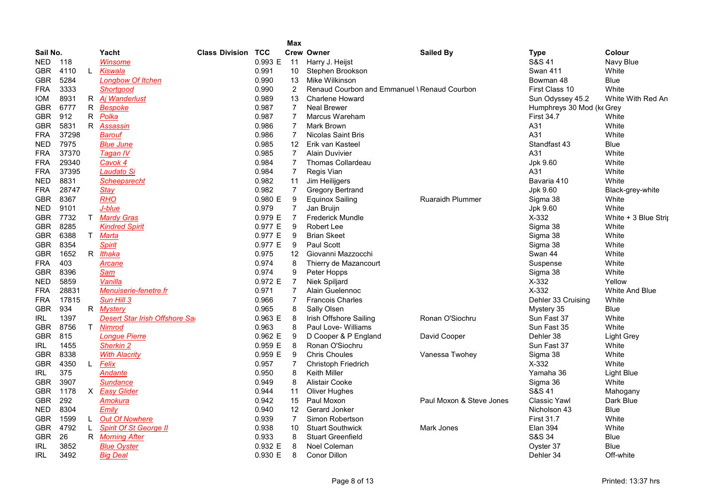|            |       |    |                                |                       |            | Max             |                                              |                          |                           |                      |
|------------|-------|----|--------------------------------|-----------------------|------------|-----------------|----------------------------------------------|--------------------------|---------------------------|----------------------|
| Sail No.   |       |    | Yacht                          | <b>Class Division</b> | <b>TCC</b> |                 | <b>Crew Owner</b>                            | <b>Sailed By</b>         | <b>Type</b>               | Colour               |
| <b>NED</b> | 118   |    | Winsome                        |                       | 0.993 E    | 11              | Harry J. Heijst                              |                          | S&S 41                    | Navy Blue            |
| <b>GBR</b> | 4110  | L. | Kiswala                        |                       | 0.991      | 10 <sup>°</sup> | Stephen Brookson                             |                          | <b>Swan 411</b>           | White                |
| <b>GBR</b> | 5284  |    | <b>Longbow Of Itchen</b>       |                       | 0.990      | 13              | Mike Wilkinson                               |                          | Bowman 48                 | <b>Blue</b>          |
| <b>FRA</b> | 3333  |    | Shortgood                      |                       | 0.990      | $\overline{2}$  | Renaud Courbon and Emmanuel \ Renaud Courbon |                          | First Class 10            | White                |
| <b>IOM</b> | 8931  |    | R Aj Wanderlust                |                       | 0.989      | 13              | <b>Charlene Howard</b>                       |                          | Sun Odyssey 45.2          | White With Red An    |
| <b>GBR</b> | 6777  |    | R Bespoke                      |                       | 0.987      | $\overline{7}$  | <b>Neal Brewer</b>                           |                          | Humphreys 30 Mod (ke Grey |                      |
| <b>GBR</b> | 912   | R. | Polka                          |                       | 0.987      | $\overline{7}$  | Marcus Wareham                               |                          | <b>First 34.7</b>         | White                |
| <b>GBR</b> | 5831  | R  | Assassin                       |                       | 0.986      | $\overline{7}$  | <b>Mark Brown</b>                            |                          | A31                       | White                |
| <b>FRA</b> | 37298 |    | Barouf                         |                       | 0.986      | $\overline{7}$  | <b>Nicolas Saint Bris</b>                    |                          | A31                       | White                |
| <b>NED</b> | 7975  |    | <b>Blue June</b>               |                       | 0.985      | 12              | Erik van Kasteel                             |                          | Standfast 43              | Blue                 |
| <b>FRA</b> | 37370 |    | Tagan IV                       |                       | 0.985      | $\overline{7}$  | <b>Alain Duvivier</b>                        |                          | A31                       | White                |
| <b>FRA</b> | 29340 |    | Cavok 4                        |                       | 0.984      | $\overline{7}$  | <b>Thomas Collardeau</b>                     |                          | Jpk 9.60                  | White                |
| <b>FRA</b> | 37395 |    | Laudato Si                     |                       | 0.984      | $\overline{7}$  | Regis Vian                                   |                          | A31                       | White                |
| <b>NED</b> | 8831  |    | <b>Scheepsrecht</b>            |                       | 0.982      | 11              | Jim Heilijgers                               |                          | Bavaria 410               | White                |
| <b>FRA</b> | 28747 |    | <b>Stay</b>                    |                       | 0.982      | $\overline{7}$  | <b>Gregory Bertrand</b>                      |                          | Jpk 9.60                  | Black-grey-white     |
| <b>GBR</b> | 8367  |    | RHO                            |                       | 0.980 E    | 9               | <b>Equinox Sailing</b>                       | <b>Ruaraidh Plummer</b>  | Sigma 38                  | White                |
| <b>NED</b> | 9101  |    | J-blue                         |                       | 0.979      | 7               | Jan Bruijn                                   |                          | Jpk 9.60                  | White                |
| <b>GBR</b> | 7732  | T. | <b>Mardy Gras</b>              |                       | 0.979 E    | $\overline{7}$  | <b>Frederick Mundle</b>                      |                          | X-332                     | White + 3 Blue Strip |
| <b>GBR</b> | 8285  |    | <b>Kindred Spirit</b>          |                       | 0.977 E    | 9               | <b>Robert Lee</b>                            |                          | Sigma 38                  | White                |
|            | 6388  |    |                                |                       | 0.977 E    |                 |                                              |                          |                           | White                |
| <b>GBR</b> | 8354  | T. | <u>Marta</u>                   |                       | 0.977 E    | 9               | <b>Brian Skeet</b><br>Paul Scott             |                          | Sigma 38                  | White                |
| <b>GBR</b> |       |    | <b>Spirit</b>                  |                       |            | 9               |                                              |                          | Sigma 38                  |                      |
| <b>GBR</b> | 1652  |    | R Ithaka                       |                       | 0.975      | 12              | Giovanni Mazzocchi                           |                          | Swan 44                   | White                |
| <b>FRA</b> | 403   |    | Arcane                         |                       | 0.974      | 8               | Thierry de Mazancourt                        |                          | Suspense                  | White                |
| <b>GBR</b> | 8396  |    | Sam                            |                       | 0.974      | 9               | Peter Hopps                                  |                          | Sigma 38                  | White                |
| <b>NED</b> | 5859  |    | Vanilla                        |                       | 0.972 E    | 7               | Niek Spiljard                                |                          | $X-332$                   | Yellow               |
| <b>FRA</b> | 28831 |    | Menuiserie-fenetre.fr          |                       | 0.971      | $\overline{7}$  | Alain Guelennoc                              |                          | $X-332$                   | White And Blue       |
| <b>FRA</b> | 17815 |    | Sun Hill 3                     |                       | 0.966      | $\overline{7}$  | <b>Francois Charles</b>                      |                          | Dehler 33 Cruising        | White                |
| <b>GBR</b> | 934   | R  | <u>Mystery</u>                 |                       | 0.965      | 8               | Sally Olsen                                  |                          | Mystery 35                | <b>Blue</b>          |
| IRL        | 1397  |    | Desert Star Irish Offshore Sai |                       | 0.963 E    | 8               | Irish Offshore Sailing                       | Ronan O'Siochru          | Sun Fast 37               | White                |
| <b>GBR</b> | 8756  | T. | Nimrod                         |                       | 0.963      | 8               | Paul Love- Williams                          |                          | Sun Fast 35               | White                |
| <b>GBR</b> | 815   |    | <b>Longue Pierre</b>           |                       | 0.962 E    | 9               | D Cooper & P England                         | David Cooper             | Dehler 38                 | <b>Light Grey</b>    |
| IRL        | 1455  |    | Sherkin 2                      |                       | 0.959 E    | 8               | Ronan O'Siochru                              |                          | Sun Fast 37               | White                |
| <b>GBR</b> | 8338  |    | <b>With Alacrity</b>           |                       | 0.959 E    | 9               | <b>Chris Choules</b>                         | Vanessa Twohey           | Sigma 38                  | White                |
| <b>GBR</b> | 4350  | L. | Felix                          |                       | 0.957      | 7               | Christoph Friedrich                          |                          | $X-332$                   | White                |
| IRL        | 375   |    | Andante                        |                       | 0.950      | 8               | Keith Miller                                 |                          | Yamaha 36                 | Light Blue           |
| <b>GBR</b> | 3907  |    | <b>Sundance</b>                |                       | 0.949      | 8               | Alistair Cooke                               |                          | Sigma 36                  | White                |
| <b>GBR</b> | 1178  | X  | <b>Easy Glider</b>             |                       | 0.944      | 11              | Oliver Hughes                                |                          | S&S 41                    | Mahogany             |
| <b>GBR</b> | 292   |    | Amokura                        |                       | 0.942      | 15              | Paul Moxon                                   | Paul Moxon & Steve Jones | <b>Classic Yawl</b>       | Dark Blue            |
| <b>NED</b> | 8304  |    | Emily                          |                       | 0.940      | 12              | <b>Gerard Jonker</b>                         |                          | Nicholson 43              | <b>Blue</b>          |
| <b>GBR</b> | 1599  | L. | <b>Out Of Nowhere</b>          |                       | 0.939      | $\overline{7}$  | Simon Robertson                              |                          | <b>First 31.7</b>         | White                |
| <b>GBR</b> | 4792  | L. | <b>Spirit Of St George II</b>  |                       | 0.938      | 10              | <b>Stuart Southwick</b>                      | Mark Jones               | <b>Elan 394</b>           | White                |
| <b>GBR</b> | 26    | R  | <b>Morning After</b>           |                       | 0.933      | 8               | <b>Stuart Greenfield</b>                     |                          | S&S 34                    | Blue                 |
| IRL        | 3852  |    | <b>Blue Oyster</b>             |                       | 0.932 E    | 8               | Noel Coleman                                 |                          | Oyster 37                 | <b>Blue</b>          |
| <b>IRL</b> | 3492  |    | <b>Big Deal</b>                |                       | 0.930 E    | 8               | Conor Dillon                                 |                          | Dehler 34                 | Off-white            |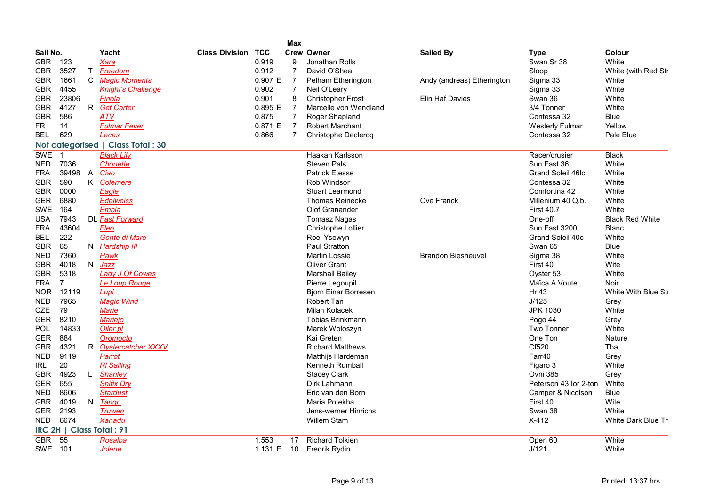|                 |                |              |                                    |                           |           | Max            |                             |                            |                        |                        |
|-----------------|----------------|--------------|------------------------------------|---------------------------|-----------|----------------|-----------------------------|----------------------------|------------------------|------------------------|
| Sail No.        |                |              | Yacht                              | <b>Class Division TCC</b> |           |                | Crew Owner                  | <b>Sailed By</b>           | <b>Type</b>            | Colour                 |
| GBR.            | 123            |              | Xara                               |                           | 0.919     | 9              | Jonathan Rolls              |                            | Swan Sr 38             | White                  |
| GBR             | 3527           | T            | Freedom                            |                           | 0.912     | $\overline{7}$ | David O'Shea                |                            | Sloop                  | White (with Red Str    |
| <b>GBR</b>      | 1661           | C            | <b>Magic Moments</b>               |                           | 0.907 E   | $\overline{7}$ | <b>Pelham Etherington</b>   | Andy (andreas) Etherington | Sigma 33               | White                  |
| <b>GBR</b>      | 4455           |              | <b>Knight's Challenge</b>          |                           | 0.902     | $\overline{7}$ | Neil O'Leary                |                            | Sigma 33               | White                  |
| GBR             | 23806          |              | Finola                             |                           | 0.901     | 8              | <b>Christopher Frost</b>    | Elin Haf Davies            | Swan 36                | White                  |
| <b>GBR</b>      | 4127           | R            | <b>Get Carter</b>                  |                           | 0.895 E   | $\overline{7}$ | Marcelle von Wendland       |                            | 3/4 Tonner             | White                  |
| <b>GBR</b>      | 586            |              | <b>ATV</b>                         |                           | 0.875     | $\overline{7}$ | Roger Shapland              |                            | Contessa 32            | <b>Blue</b>            |
| FR.             | 14             |              | <b>Fulmar Fever</b>                |                           | 0.871 E   | $\overline{7}$ | <b>Robert Marchant</b>      |                            | <b>Westerly Fulmar</b> | Yellow                 |
| <b>BEL</b>      | 629            |              | Lecas                              |                           | 0.866     | $\overline{7}$ | <b>Christophe Declercq</b>  |                            | Contessa 32            | Pale Blue              |
|                 |                |              | Not categorised   Class Total : 30 |                           |           |                |                             |                            |                        |                        |
| <b>SWE</b>      | $\overline{1}$ |              | <b>Black Lily</b>                  |                           |           |                | Haakan Karlsson             |                            | Racer/crusier          | Black                  |
| NED             | 7036           |              | Chouette                           |                           |           |                | <b>Steven Pals</b>          |                            | Sun Fast 36            | White                  |
| <b>FRA</b>      | 39498          | $\mathsf{A}$ | Ciao                               |                           |           |                | <b>Patrick Etesse</b>       |                            | Grand Soleil 46lc      | White                  |
| <b>GBR</b>      | 590            |              | K Colemere                         |                           |           |                | Rob Windsor                 |                            | Contessa 32            | White                  |
| GBR             | 0000           |              | Eagle                              |                           |           |                | <b>Stuart Learmond</b>      |                            | Comfortina 42          | White                  |
| <b>GER</b>      | 6880           |              | <b>Edelweiss</b>                   |                           |           |                | <b>Thomas Reinecke</b>      | <b>Ove Franck</b>          | Millenium 40 Q.b.      | White                  |
| SWE             | 164            |              | Embla                              |                           |           |                | Olof Granander              |                            | <b>First 40.7</b>      | White                  |
| <b>USA</b>      | 7943           |              | DL Fast Forward                    |                           |           |                | <b>Tomasz Nagas</b>         |                            | One-off                | <b>Black Red White</b> |
| <b>FRA</b>      | 43604          |              | Fleo                               |                           |           |                | Christophe Lollier          |                            | Sun Fast 3200          | <b>Blanc</b>           |
| <b>BEL</b>      | 222            |              | Gente di Mare                      |                           |           |                | Roel Ysewyn                 |                            | Grand Soleil 40c       | White                  |
| GBR             | 65             |              | N Hardship III                     |                           |           |                | <b>Paul Stratton</b>        |                            | Swan 65                | <b>Blue</b>            |
| NED             | 7360           |              | <b>Hawk</b>                        |                           |           |                | <b>Martin Lossie</b>        | <b>Brandon Biesheuvel</b>  | Sigma 38               | White                  |
| <b>GBR</b>      | 4018           | N.           | Jazz                               |                           |           |                | <b>Oliver Grant</b>         |                            | First 40               | Wite                   |
| <b>GBR</b>      | 5318           |              | Lady J Of Cowes                    |                           |           |                | <b>Marshall Bailey</b>      |                            | Oyster 53              | White                  |
| <b>FRA</b>      | $\overline{7}$ |              | Le Loup Rouge                      |                           |           |                | Pierre Legoupil             |                            | Maïca A Voute          | Noir                   |
| <b>NOR</b>      | 12119          |              | Lupi                               |                           |           |                | <b>Bjorn Einar Borresen</b> |                            | Hr 43                  | White With Blue Sti    |
| <b>NED</b>      | 7965           |              | <b>Magic Wind</b>                  |                           |           |                | Robert Tan                  |                            | J/125                  | Grey                   |
| CZE             | 79             |              | <b>Marie</b>                       |                           |           |                | Milan Kolacek               |                            | <b>JPK 1030</b>        | White                  |
| GER             | 8210           |              | <b>Mariejo</b>                     |                           |           |                | Tobias Brinkmann            |                            | Pogo 44                | Grey                   |
| <b>POL</b>      | 14833          |              | Oiler.pl                           |                           |           |                | Marek Woloszyn              |                            | Two Tonner             | White                  |
| <b>GER</b>      | 884            |              | Oromocto                           |                           |           |                | Kai Greten                  |                            | One Ton                | <b>Nature</b>          |
| <b>GBR</b>      | 4321           | R            | <b>Oystercatcher XXXV</b>          |                           |           |                | <b>Richard Matthews</b>     |                            | Cf520                  | Tba                    |
| <b>NED</b>      | 9119           |              | Parrot                             |                           |           |                | Matthijs Hardeman           |                            | Farr40                 | Grey                   |
| <b>IRL</b>      | 20             |              | <b>RI</b> Sailing                  |                           |           |                | Kenneth Rumball             |                            | Figaro 3               | White                  |
| <b>GBR</b>      | 4923           | $\mathsf{L}$ | Shanley                            |                           |           |                | <b>Stacey Clark</b>         |                            | Ovni 385               | Grev                   |
| GER             | 655            |              | <b>Snifix Dry</b>                  |                           |           |                | Dirk Lahmann                |                            | Peterson 43 lor 2-ton  | White                  |
| NED             | 8606           |              | Stardust                           |                           |           |                | Eric van den Born           |                            | Camper & Nicolson      | Blue                   |
| GBR             | 4019           |              | N Tango                            |                           |           |                | Maria Potekha               |                            | First 40               | Wite                   |
| <b>GER</b>      | 2193           |              | <b>Truwen</b>                      |                           |           |                | Jens-werner Hinrichs        |                            | Swan 38                | White                  |
| NED.            | 6674           |              | Xanadu                             |                           |           |                | <b>Willem Stam</b>          |                            | $X-412$                | White Dark Blue Tri    |
| <b>IRC 2H  </b> |                |              | <b>Class Total: 91</b>             |                           |           |                |                             |                            |                        |                        |
| <b>GBR</b>      | 55             |              | Rosalba                            |                           | 1.553     | 17             | <b>Richard Tolkien</b>      |                            | Open 60                | White                  |
| SWE 101         |                |              | Jolene                             |                           | 1.131 $E$ | 10             | Fredrik Rydin               |                            | J/121                  | White                  |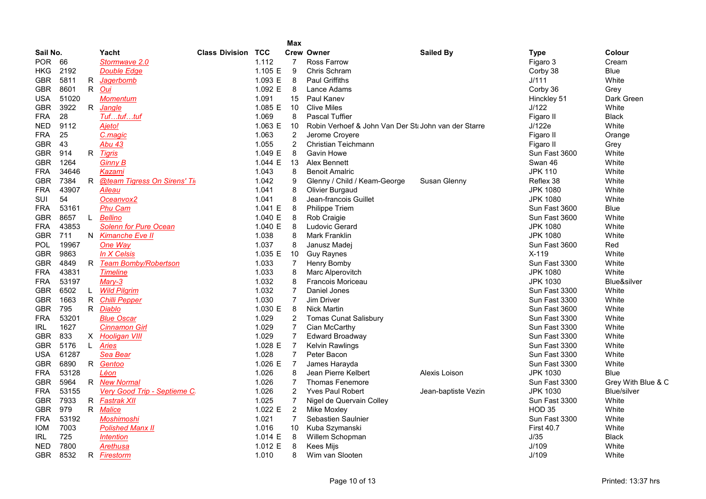|            |       |    |                                |                           |           | <b>Max</b>     |                                                      |                     |                   |                    |
|------------|-------|----|--------------------------------|---------------------------|-----------|----------------|------------------------------------------------------|---------------------|-------------------|--------------------|
| Sail No.   |       |    | Yacht                          | <b>Class Division TCC</b> |           |                | <b>Crew Owner</b>                                    | <b>Sailed By</b>    | <b>Type</b>       | Colour             |
| POR.       | 66    |    | Stormwave 2.0                  |                           | 1.112     | 7              | Ross Farrow                                          |                     | Figaro 3          | Cream              |
| HKG.       | 2192  |    | <b>Double Edge</b>             |                           | 1.105 E   | 9              | Chris Schram                                         |                     | Corby 38          | Blue               |
| <b>GBR</b> | 5811  |    | R <i>Jagerbomb</i>             |                           | 1.093 E   | 8              | <b>Paul Griffiths</b>                                |                     | J/111             | White              |
| <b>GBR</b> | 8601  |    | R Oui                          |                           | 1.092 E   | 8              | Lance Adams                                          |                     | Corby 36          | Grey               |
| <b>USA</b> | 51020 |    | <b>Momentum</b>                |                           | 1.091     | 15             | Paul Kanev                                           |                     | Hinckley 51       | Dark Green         |
| <b>GBR</b> | 3922  |    | R Jangle                       |                           | 1.085 E   | 10             | <b>Clive Miles</b>                                   |                     | J/122             | White              |
| <b>FRA</b> | 28    |    | Tuftuftuf                      |                           | 1.069     | 8              | <b>Pascal Tuffier</b>                                |                     | Figaro II         | <b>Black</b>       |
| <b>NED</b> | 9112  |    | Ajeto!                         |                           | 1.063 E   | 10             | Robin Verhoef & John Van Der St: John van der Starre |                     | J/122e            | White              |
| <b>FRA</b> | 25    |    | C.magic                        |                           | 1.063     | 2              | Jerome Croyere                                       |                     | Figaro II         | Orange             |
| <b>GBR</b> | 43    |    | <b>Abu 43</b>                  |                           | 1.055     | $\overline{2}$ | Christian Teichmann                                  |                     | Figaro II         | Grey               |
| GBR        | 914   |    | R Tigris                       |                           | 1.049 E   | 8              | Gavin Howe                                           |                     | Sun Fast 3600     | White              |
| <b>GBR</b> | 1264  |    | <b>Ginny B</b>                 |                           | 1.044 $E$ | 13             | Alex Bennett                                         |                     | Swan 46           | White              |
| <b>FRA</b> | 34646 |    | Kazami                         |                           | 1.043     | 8              | <b>Benoit Amalric</b>                                |                     | <b>JPK 110</b>    | White              |
| <b>GBR</b> | 7384  |    | R @team Tigress On Sirens' Tig |                           | 1.042     | 9              | Glenny / Child / Keam-George                         | Susan Glenny        | Reflex 38         | White              |
| <b>FRA</b> | 43907 |    | Aileau                         |                           | 1.041     | 8              | Olivier Burgaud                                      |                     | <b>JPK 1080</b>   | White              |
| SUI        | 54    |    | Oceanvox2                      |                           | 1.041     | 8              | Jean-francois Guillet                                |                     | <b>JPK 1080</b>   | White              |
| <b>FRA</b> | 53161 |    | <b>Phu Cam</b>                 |                           | 1.041 E   | 8              | Philippe Triem                                       |                     | Sun Fast 3600     | Blue               |
| <b>GBR</b> | 8657  | L. | <b>Bellino</b>                 |                           | 1.040 E   | 8              | Rob Craigie                                          |                     | Sun Fast 3600     | White              |
| <b>FRA</b> | 43853 |    | <b>Solenn for Pure Ocean</b>   |                           | 1.040 E   | 8              | <b>Ludovic Gerard</b>                                |                     | <b>JPK 1080</b>   | White              |
| <b>GBR</b> | 711   |    | N Kimanche Eve II              |                           | 1.038     | 8              | Mark Franklin                                        |                     | <b>JPK 1080</b>   | White              |
| <b>POL</b> | 19967 |    | One Way                        |                           | 1.037     | 8              | Janusz Madei                                         |                     | Sun Fast 3600     | Red                |
| <b>GBR</b> | 9863  |    | In X Celsis                    |                           | 1.035 E   | 10             | <b>Guy Raynes</b>                                    |                     | X-119             | White              |
| <b>GBR</b> | 4849  |    | R Team Bomby/Robertson         |                           | 1.033     | $\overline{7}$ | Henry Bomby                                          |                     | Sun Fast 3300     | White              |
| <b>FRA</b> | 43831 |    | <b>Timeline</b>                |                           | 1.033     | 8              | Marc Alperovitch                                     |                     | <b>JPK 1080</b>   | White              |
| <b>FRA</b> | 53197 |    | $Mary-3$                       |                           | 1.032     | 8              | <b>Francois Moriceau</b>                             |                     | <b>JPK 1030</b>   | Blue&silver        |
| <b>GBR</b> | 6502  | L. | <b>Wild Pilgrim</b>            |                           | 1.032     | $\overline{7}$ | Daniel Jones                                         |                     | Sun Fast 3300     | White              |
| <b>GBR</b> | 1663  |    | R Chilli Pepper                |                           | 1.030     | 7              | Jim Driver                                           |                     | Sun Fast 3300     | White              |
| <b>GBR</b> | 795   |    | R <i>Diablo</i>                |                           | 1.030 E   | 8              | <b>Nick Martin</b>                                   |                     | Sun Fast 3600     | White              |
| <b>FRA</b> | 53201 |    | <b>Blue Oscar</b>              |                           | 1.029     | 2              | <b>Tomas Cunat Salisbury</b>                         |                     | Sun Fast 3300     | White              |
| IRL        | 1627  |    | <b>Cinnamon Girl</b>           |                           | 1.029     | $\overline{7}$ | Cian McCarthy                                        |                     | Sun Fast 3300     | White              |
| <b>GBR</b> | 833   |    | X Hooligan VIII                |                           | 1.029     | $\overline{7}$ | <b>Edward Broadway</b>                               |                     | Sun Fast 3300     | White              |
| <b>GBR</b> | 5176  | L. | Aries                          |                           | 1.028 E   | $\overline{7}$ | <b>Kelvin Rawlings</b>                               |                     | Sun Fast 3300     | White              |
| <b>USA</b> | 61287 |    | Sea Bear                       |                           | 1.028     | $\overline{7}$ | Peter Bacon                                          |                     | Sun Fast 3300     | White              |
| <b>GBR</b> | 6890  |    | R Gentoo                       |                           | 1.026 E   | $\overline{7}$ | James Harayda                                        |                     | Sun Fast 3300     | White              |
| <b>FRA</b> | 53128 |    | Léon                           |                           | 1.026     | 8              | Jean Pierre Kelbert                                  | Alexis Loison       | <b>JPK 1030</b>   | <b>Blue</b>        |
| <b>GBR</b> | 5964  |    | R New Normal                   |                           | 1.026     | $\overline{7}$ | <b>Thomas Fenemore</b>                               |                     | Sun Fast 3300     | Grey With Blue & C |
| <b>FRA</b> | 53155 |    | Very Good Trip - Septieme C    |                           | 1.026     | 2              | <b>Yves Paul Robert</b>                              | Jean-baptiste Vezin | <b>JPK 1030</b>   | <b>Blue/silver</b> |
| <b>GBR</b> | 7933  |    | R Fastrak XII                  |                           | 1.025     | 7              | Nigel de Quervain Colley                             |                     | Sun Fast 3300     | White              |
| <b>GBR</b> | 979   |    | R Malice                       |                           | 1.022 E   | $\overline{2}$ | <b>Mike Moxley</b>                                   |                     | <b>HOD 35</b>     | White              |
| <b>FRA</b> | 53192 |    | Moshimoshi                     |                           | 1.021     | $\overline{7}$ | Sebastien Saulnier                                   |                     | Sun Fast 3300     | White              |
| IOM        | 7003  |    | <b>Polished Manx II</b>        |                           | 1.016     | 10             | Kuba Szymanski                                       |                     | <b>First 40.7</b> | White              |
| IRL        | 725   |    | <i><b>Intention</b></i>        |                           | 1.014 E   | 8              | Willem Schopman                                      |                     | J/35              | <b>Black</b>       |
| <b>NED</b> | 7800  |    | Arethusa                       |                           | 1.012 E   | 8              | Kees Mijs                                            |                     | J/109             | White              |
| <b>GBR</b> | 8532  | R  | Firestorm                      |                           | 1.010     | 8              | Wim van Slooten                                      |                     | J/109             | White              |
|            |       |    |                                |                           |           |                |                                                      |                     |                   |                    |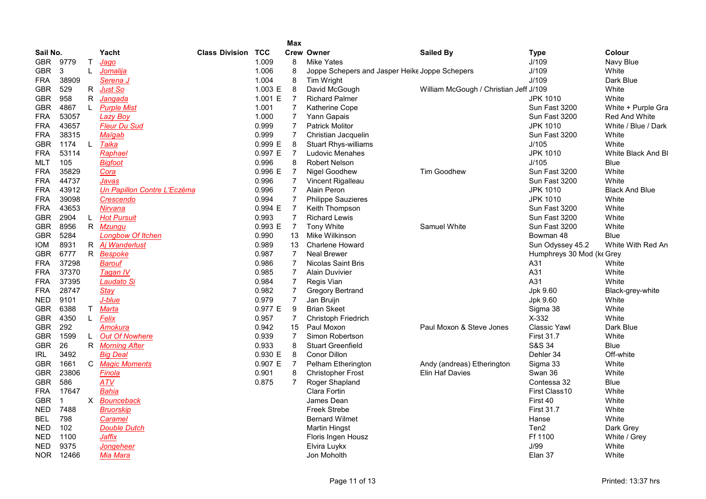|            |       |    |                             |                       |         | <b>Max</b>     |                                                |                                        |                           |                       |
|------------|-------|----|-----------------------------|-----------------------|---------|----------------|------------------------------------------------|----------------------------------------|---------------------------|-----------------------|
| Sail No.   |       |    | Yacht                       | <b>Class Division</b> | TCC     |                | <b>Crew Owner</b>                              | <b>Sailed By</b>                       | <b>Type</b>               | Colour                |
| GBR.       | 9779  | T. | Jago                        |                       | 1.009   | 8              | <b>Mike Yates</b>                              |                                        | J/109                     | Navy Blue             |
| <b>GBR</b> | 3     | L  | Jomalija                    |                       | 1.006   | 8              | Joppe Schepers and Jasper Heike Joppe Schepers |                                        | J/109                     | White                 |
| <b>FRA</b> | 38909 |    | Serena J                    |                       | 1.004   | 8              | Tim Wright                                     |                                        | J/109                     | Dark Blue             |
| <b>GBR</b> | 529   | R  | Just So                     |                       | 1.003 E | 8              | David McGough                                  | William McGough / Christian Jeff J/109 |                           | White                 |
| <b>GBR</b> | 958   | R. | Janqada                     |                       | 1.001 E | $\overline{7}$ | <b>Richard Palmer</b>                          |                                        | <b>JPK 1010</b>           | White                 |
| <b>GBR</b> | 4867  | L. | <b>Purple Mist</b>          |                       | 1.001   | $\overline{7}$ | Katherine Cope                                 |                                        | Sun Fast 3200             | White + Purple Gra    |
| FRA        | 53057 |    | <b>Lazy Boy</b>             |                       | 1.000   | $\overline{7}$ | Yann Gapais                                    |                                        | Sun Fast 3200             | Red And White         |
| FRA        | 43657 |    | <b>Fleur Du Sud</b>         |                       | 0.999   | $\overline{7}$ | <b>Patrick Molitor</b>                         |                                        | <b>JPK 1010</b>           | White / Blue / Dark   |
| <b>FRA</b> | 38315 |    | Maïqab                      |                       | 0.999   | $\overline{7}$ | Christian Jacquelin                            |                                        | Sun Fast 3200             | White                 |
| <b>GBR</b> | 1174  | L  | Taika                       |                       | 0.999 E | 8              | <b>Stuart Rhys-williams</b>                    |                                        | J/105                     | White                 |
| <b>FRA</b> | 53114 |    | Raphael                     |                       | 0.997 E | $\overline{7}$ | <b>Ludovic Menahes</b>                         |                                        | <b>JPK 1010</b>           | White Black And BI    |
| MLT        | 105   |    | <b>Bigfoot</b>              |                       | 0.996   | 8              | <b>Robert Nelson</b>                           |                                        | J/105                     | Blue                  |
| <b>FRA</b> | 35829 |    | Cora                        |                       | 0.996 E | $\overline{7}$ | Nigel Goodhew                                  | <b>Tim Goodhew</b>                     | Sun Fast 3200             | White                 |
| FRA        | 44737 |    | Javas                       |                       | 0.996   | 7              | Vincent Rigalleau                              |                                        | Sun Fast 3200             | White                 |
| <b>FRA</b> | 43912 |    | Un Papillon Contre L'Eczéma |                       | 0.996   | $\overline{7}$ | Alain Peron                                    |                                        | <b>JPK 1010</b>           | <b>Black And Blue</b> |
| FRA        | 39098 |    | Crescendo                   |                       | 0.994   | $\overline{7}$ | <b>Philippe Sauzieres</b>                      |                                        | <b>JPK 1010</b>           | White                 |
| FRA        | 43653 |    | Nirvana                     |                       | 0.994 E | $\overline{7}$ | Keith Thompson                                 |                                        | Sun Fast 3200             | White                 |
| <b>GBR</b> | 2904  | L  | <b>Hot Pursuit</b>          |                       | 0.993   | $\overline{7}$ | <b>Richard Lewis</b>                           |                                        | Sun Fast 3200             | White                 |
| <b>GBR</b> | 8956  |    | R Mzungu                    |                       | 0.993 E | $\overline{7}$ | <b>Tony White</b>                              | Samuel White                           | Sun Fast 3200             | White                 |
| <b>GBR</b> | 5284  |    | <b>Longbow Of Itchen</b>    |                       | 0.990   | 13             | Mike Wilkinson                                 |                                        | Bowman 48                 | <b>Blue</b>           |
| <b>IOM</b> | 8931  |    | R Aj Wanderlust             |                       | 0.989   | 13             | <b>Charlene Howard</b>                         |                                        | Sun Odyssey 45.2          | White With Red An     |
| GBR        | 6777  |    | R Bespoke                   |                       | 0.987   | $\overline{7}$ | <b>Neal Brewer</b>                             |                                        | Humphreys 30 Mod (ke Grey |                       |
| FRA        | 37298 |    | Barouf                      |                       | 0.986   | $\overline{7}$ | <b>Nicolas Saint Bris</b>                      |                                        | A31                       | White                 |
| FRA        | 37370 |    | Tagan IV                    |                       | 0.985   | $\overline{7}$ | <b>Alain Duvivier</b>                          |                                        | A31                       | White                 |
| <b>FRA</b> | 37395 |    | Laudato Si                  |                       | 0.984   | $\overline{7}$ | Regis Vian                                     |                                        | A31                       | White                 |
| <b>FRA</b> | 28747 |    | <b>Stay</b>                 |                       | 0.982   | $\overline{7}$ | <b>Gregory Bertrand</b>                        |                                        | Jpk 9.60                  | Black-grey-white      |
| <b>NED</b> | 9101  |    | J-blue                      |                       | 0.979   | $\overline{7}$ | Jan Bruijn                                     |                                        | Jpk 9.60                  | White                 |
| GBR        | 6388  | T. | <b>Marta</b>                |                       | 0.977 E | 9              | <b>Brian Skeet</b>                             |                                        | Sigma 38                  | White                 |
| <b>GBR</b> | 4350  | L. | Felix                       |                       | 0.957   | $\overline{7}$ | <b>Christoph Friedrich</b>                     |                                        | X-332                     | White                 |
| <b>GBR</b> | 292   |    | Amokura                     |                       | 0.942   | 15             | Paul Moxon                                     | Paul Moxon & Steve Jones               | <b>Classic Yawl</b>       | Dark Blue             |
| <b>GBR</b> | 1599  | L. | <b>Out Of Nowhere</b>       |                       | 0.939   | $\overline{7}$ | Simon Robertson                                |                                        | <b>First 31.7</b>         | White                 |
| <b>GBR</b> | 26    |    | R Morning After             |                       | 0.933   | 8              | <b>Stuart Greenfield</b>                       |                                        | S&S 34                    | <b>Blue</b>           |
| IRL        | 3492  |    | <b>Big Deal</b>             |                       | 0.930 E | 8              | Conor Dillon                                   |                                        | Dehler 34                 | Off-white             |
| <b>GBR</b> | 1661  | C. | <b>Magic Moments</b>        |                       | 0.907 E | $\overline{7}$ | Pelham Etherington                             | Andy (andreas) Etherington             | Sigma 33                  | White                 |
| GBR        | 23806 |    | Finola                      |                       | 0.901   | 8              | <b>Christopher Frost</b>                       | Elin Haf Davies                        | Swan 36                   | White                 |
| GBR        | 586   |    | ATV                         |                       | 0.875   | $\overline{7}$ | Roger Shapland                                 |                                        | Contessa 32               | Blue                  |
| <b>FRA</b> | 17647 |    | <b>Bahia</b>                |                       |         |                | Clara Fortin                                   |                                        | First Class10             | White                 |
| <b>GBR</b> | -1    |    | X Bounceback                |                       |         |                | James Dean                                     |                                        | First 40                  | White                 |
| <b>NED</b> | 7488  |    | <b>Bruorskip</b>            |                       |         |                | <b>Freek Strebe</b>                            |                                        | <b>First 31.7</b>         | White                 |
| <b>BEL</b> | 798   |    | Caramel                     |                       |         |                | <b>Bernard Wilmet</b>                          |                                        | Hanse                     | White                 |
| NED        | 102   |    | <b>Double Dutch</b>         |                       |         |                | Martin Hingst                                  |                                        | Ten2                      | Dark Grey             |
| NED        | 1100  |    | Jaffix                      |                       |         |                | Floris Ingen Housz                             |                                        | Ff 1100                   | White / Grey          |
| NED        | 9375  |    | Jongeheer                   |                       |         |                | Elvira Luykx                                   |                                        | J/99                      | White                 |
| <b>NOR</b> | 12466 |    | Mia Mara                    |                       |         |                | Jon Moholth                                    |                                        | Elan 37                   | White                 |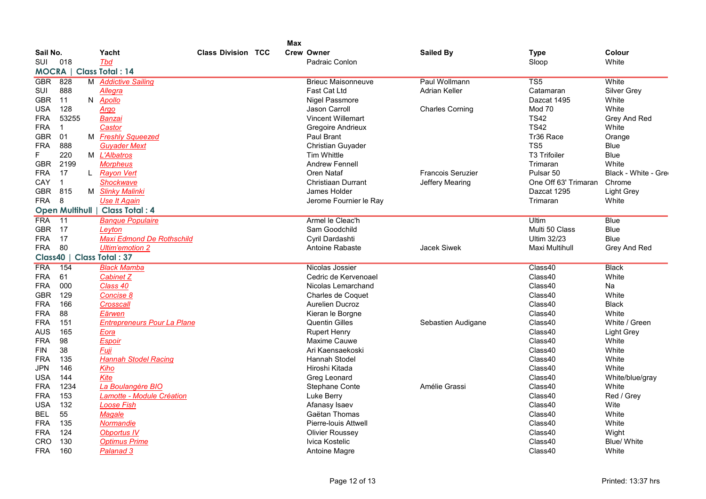|              |                         |   |                                    |                           | <b>Max</b> |                           |                          |                      |                      |
|--------------|-------------------------|---|------------------------------------|---------------------------|------------|---------------------------|--------------------------|----------------------|----------------------|
| Sail No.     |                         |   | Yacht                              | <b>Class Division TCC</b> |            | <b>Crew Owner</b>         | <b>Sailed By</b>         | Type                 | Colour               |
| SUI          | 018                     |   | Tbd                                |                           |            | Padraic Conlon            |                          | Sloop                | White                |
| <b>MOCRA</b> |                         |   | <b>Class Total: 14</b>             |                           |            |                           |                          |                      |                      |
| <b>GBR</b>   | 828                     |   | M Addictive Sailing                |                           |            | <b>Brieuc Maisonneuve</b> | Paul Wollmann            | TS5                  | White                |
| SUI          | 888                     |   | Allegra                            |                           |            | Fast Cat Ltd              | <b>Adrian Keller</b>     | Catamaran            | Silver Grey          |
| <b>GBR</b>   | 11                      | N | <b>Apollo</b>                      |                           |            | <b>Nigel Passmore</b>     |                          | Dazcat 1495          | White                |
| USA          | 128                     |   | Argo                               |                           |            | <b>Jason Carroll</b>      | <b>Charles Corning</b>   | Mod 70               | White                |
| <b>FRA</b>   | 53255                   |   | Banzai                             |                           |            | <b>Vincent Willemart</b>  |                          | <b>TS42</b>          | Grey And Red         |
| <b>FRA</b>   | $\mathbf{1}$            |   | Castor                             |                           |            | Gregoire Andrieux         |                          | <b>TS42</b>          | White                |
| <b>GBR</b>   | 01                      |   | M Freshly Squeezed                 |                           |            | Paul Brant                |                          | Tr36 Race            | Orange               |
| <b>FRA</b>   | 888                     |   | <b>Guyader Mext</b>                |                           |            | Christian Guyader         |                          | TS <sub>5</sub>      | <b>Blue</b>          |
| F            | 220                     |   | M L'Albatros                       |                           |            | <b>Tim Whittle</b>        |                          | <b>T3 Trifoiler</b>  | <b>Blue</b>          |
| <b>GBR</b>   | 2199                    |   | <b>Morpheus</b>                    |                           |            | <b>Andrew Fennell</b>     |                          | Trimaran             | White                |
| <b>FRA</b>   | 17                      |   | L Rayon Vert                       |                           |            | <b>Oren Nataf</b>         | <b>Francois Seruzier</b> | Pulsar <sub>50</sub> | Black - White - Gree |
| CAY          | $\mathbf{1}$            |   | <b>Shockwave</b>                   |                           |            | Christiaan Durrant        | Jeffery Mearing          | One Off 63' Trimaran | Chrome               |
| <b>GBR</b>   | 815                     |   | M Slinky Malinki                   |                           |            | James Holder              |                          | Dazcat 1295          | <b>Light Grey</b>    |
| <b>FRA</b>   | 8                       |   | <b>Use It Again</b>                |                           |            | Jerome Fournier le Ray    |                          | Trimaran             | White                |
|              | <b>Open Multihull  </b> |   | <b>Class Total: 4</b>              |                           |            |                           |                          |                      |                      |
| <b>FRA</b>   | $\overline{11}$         |   | <b>Banque Populaire</b>            |                           |            | Armel le Cleac'h          |                          | Ultim                | <b>Blue</b>          |
| <b>GBR</b>   | 17                      |   | Leyton                             |                           |            | Sam Goodchild             |                          | Multi 50 Class       | <b>Blue</b>          |
| <b>FRA</b>   | 17                      |   | <b>Maxi Edmond De Rothschild</b>   |                           |            | Cyril Dardashti           |                          | <b>Ultim 32/23</b>   | <b>Blue</b>          |
| <b>FRA</b>   | 80                      |   | <b>Ultim'emotion 2</b>             |                           |            | Antoine Rabaste           | Jacek Siwek              | Maxi Multihull       | Grey And Red         |
| Class40      |                         |   | <b>Class Total: 37</b>             |                           |            |                           |                          |                      |                      |
| <b>FRA</b>   | 154                     |   | <b>Black Mamba</b>                 |                           |            | Nicolas Jossier           |                          | Class40              | <b>Black</b>         |
| FRA          | 61                      |   | <b>Cabinet Z</b>                   |                           |            | Cedric de Kervenoael      |                          | Class40              | White                |
| <b>FRA</b>   | 000                     |   | Class 40                           |                           |            | Nicolas Lemarchand        |                          | Class40              | Na                   |
| <b>GBR</b>   | 129                     |   | Concise 8                          |                           |            | Charles de Coquet         |                          | Class40              | White                |
| <b>FRA</b>   | 166                     |   | Crosscall                          |                           |            | <b>Aurelien Ducroz</b>    |                          | Class40              | <b>Black</b>         |
| <b>FRA</b>   | 88                      |   | Eärwen                             |                           |            | Kieran le Borgne          |                          | Class40              | White                |
| FRA          | 151                     |   | <b>Entrepreneurs Pour La Plane</b> |                           |            | <b>Quentin Gilles</b>     | Sebastien Audigane       | Class40              | White / Green        |
| <b>AUS</b>   | 165                     |   | Eora                               |                           |            | <b>Rupert Henry</b>       |                          | Class40              | <b>Light Grey</b>    |
| <b>FRA</b>   | 98                      |   | <b>Espoir</b>                      |                           |            | Maxime Cauwe              |                          | Class40              | White                |
| <b>FIN</b>   | 38                      |   | Fuji                               |                           |            | Ari Kaensaekoski          |                          | Class40              | White                |
| <b>FRA</b>   | 135                     |   | <b>Hannah Stodel Racing</b>        |                           |            | <b>Hannah Stodel</b>      |                          | Class40              | White                |
| <b>JPN</b>   | 146                     |   | Kiho                               |                           |            | Hiroshi Kitada            |                          | Class40              | White                |
| USA          | 144                     |   | Kite                               |                           |            | Greg Leonard              |                          | Class40              | White/blue/gray      |
| <b>FRA</b>   | 1234                    |   | La Boulangère BIO                  |                           |            | Stephane Conte            | Amélie Grassi            | Class40              | White                |
| <b>FRA</b>   | 153                     |   | Lamotte - Module Création          |                           |            | Luke Berry                |                          | Class40              | Red / Grey           |
| <b>USA</b>   | 132                     |   | <b>Loose Fish</b>                  |                           |            | Afanasy Isaev             |                          | Class40              | Wite                 |
| <b>BEL</b>   | 55                      |   | Magale                             |                           |            | Gaëtan Thomas             |                          | Class40              | White                |
| <b>FRA</b>   | 135                     |   | <b>Normandie</b>                   |                           |            | Pierre-Iouis Attwell      |                          | Class40              | White                |
| <b>FRA</b>   | 124                     |   | <b>Obportus IV</b>                 |                           |            | <b>Olivier Roussey</b>    |                          | Class40              | Wight                |
| CRO          | 130                     |   | <b>Optimus Prime</b>               |                           |            | Ivica Kostelic            |                          | Class40              | <b>Blue/ White</b>   |
| <b>FRA</b>   | 160                     |   | Palanad 3                          |                           |            | Antoine Magre             |                          | Class40              | White                |